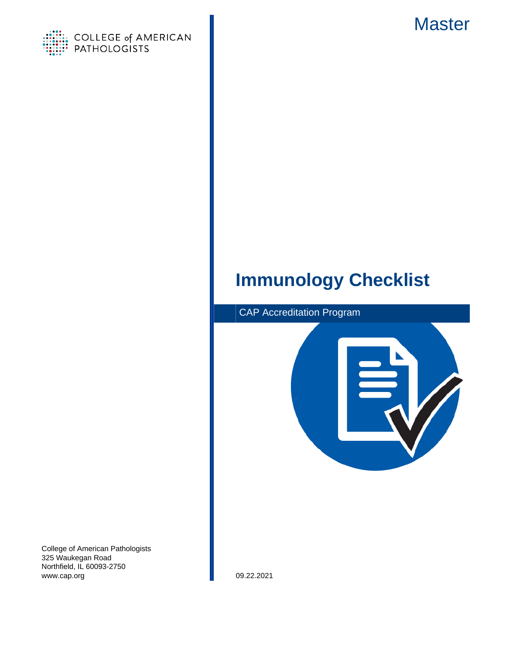

<span id="page-0-0"></span>

# **Immunology Checklist**



College of American Pathologists 325 Waukegan Road Northfield, IL 60093-2750 www.cap.org 09.22.2021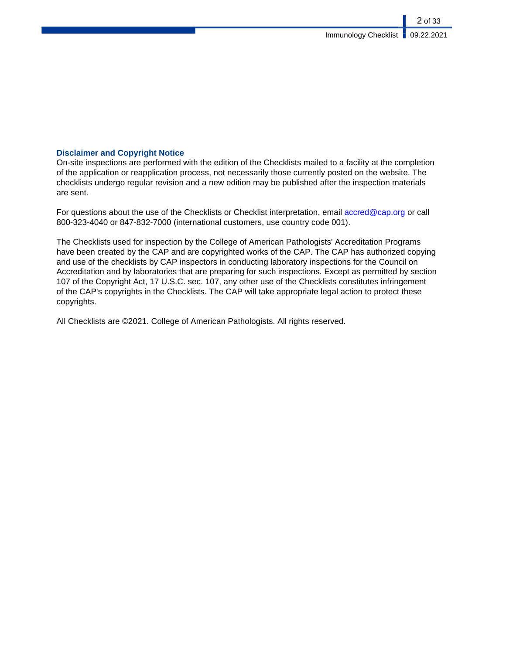## **Disclaimer and Copyright Notice**

On-site inspections are performed with the edition of the Checklists mailed to a facility at the completion of the application or reapplication process, not necessarily those currently posted on the website. The checklists undergo regular revision and a new edition may be published after the inspection materials are sent.

For questions about the use of the Checklists or Checklist interpretation, email [accred@cap.org](mailto:accred@cap.org) or call 800-323-4040 or 847-832-7000 (international customers, use country code 001).

The Checklists used for inspection by the College of American Pathologists' Accreditation Programs have been created by the CAP and are copyrighted works of the CAP. The CAP has authorized copying and use of the checklists by CAP inspectors in conducting laboratory inspections for the Council on Accreditation and by laboratories that are preparing for such inspections. Except as permitted by section 107 of the Copyright Act, 17 U.S.C. sec. 107, any other use of the Checklists constitutes infringement of the CAP's copyrights in the Checklists. The CAP will take appropriate legal action to protect these copyrights.

All Checklists are ©2021. College of American Pathologists. All rights reserved.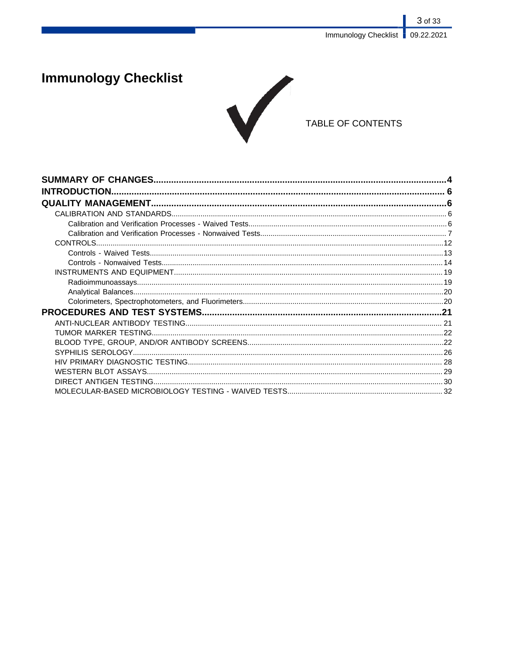# **Immunology Checklist**



# TABLE OF CONTENTS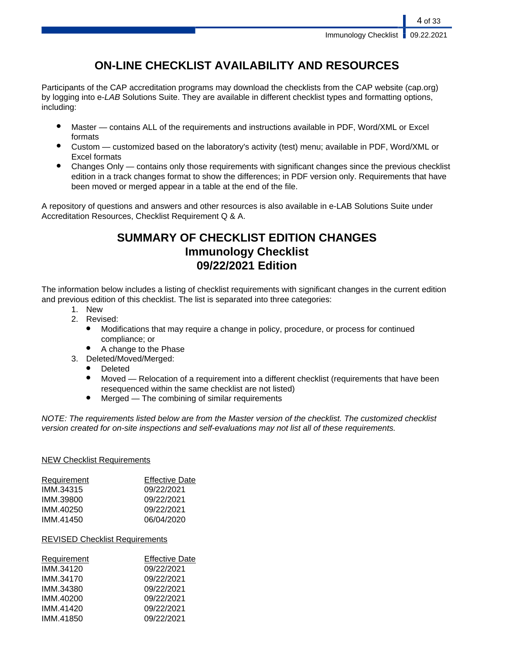# **ON-LINE CHECKLIST AVAILABILITY AND RESOURCES**

Participants of the CAP accreditation programs may download the checklists from the CAP website (cap.org) by logging into e-LAB Solutions Suite. They are available in different checklist types and formatting options, including:

- Master contains ALL of the requirements and instructions available in PDF, Word/XML or Excel formats
- Custom customized based on the laboratory's activity (test) menu; available in PDF, Word/XML or Excel formats
- Changes Only contains only those requirements with significant changes since the previous checklist edition in a track changes format to show the differences; in PDF version only. Requirements that have been moved or merged appear in a table at the end of the file.

A repository of questions and answers and other resources is also available in e-LAB Solutions Suite under Accreditation Resources, Checklist Requirement Q & A.

# **SUMMARY OF CHECKLIST EDITION CHANGES Immunology Checklist 09/22/2021 Edition**

The information below includes a listing of checklist requirements with significant changes in the current edition and previous edition of this checklist. The list is separated into three categories:

- 1. New
- 2. Revised:
	- Modifications that may require a change in policy, procedure, or process for continued compliance; or
	- A change to the Phase
- 3. Deleted/Moved/Merged:
	- **Deleted**
	- Moved Relocation of a requirement into a different checklist (requirements that have been resequenced within the same checklist are not listed)
	- $Mered$  The combining of similar requirements

NOTE: The requirements listed below are from the Master version of the checklist. The customized checklist version created for on-site inspections and self-evaluations may not list all of these requirements.

## NEW Checklist Requirements

| Requirement | <b>Effective Date</b> |
|-------------|-----------------------|
| IMM.34315   | 09/22/2021            |
| IMM.39800   | 09/22/2021            |
| IMM.40250   | 09/22/2021            |
| IMM 41450   | 06/04/2020            |
|             |                       |

## REVISED Checklist Requirements

| Requirement | <b>Effective Date</b> |
|-------------|-----------------------|
| IMM.34120   | 09/22/2021            |
| IMM.34170   | 09/22/2021            |
| IMM.34380   | 09/22/2021            |
| IMM.40200   | 09/22/2021            |
| IMM.41420   | 09/22/2021            |
| IMM.41850   | 09/22/2021            |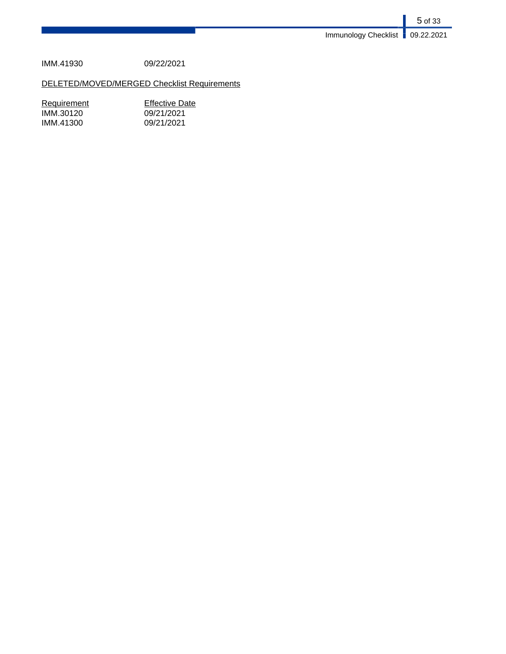5 of 33 Immunology Checklist **09.22.2021** 

IMM.41930 09/22/2021

# DELETED/MOVED/MERGED Checklist Requirements

| <b>Effective Date</b> |
|-----------------------|
| 09/21/2021            |
| 09/21/2021            |
|                       |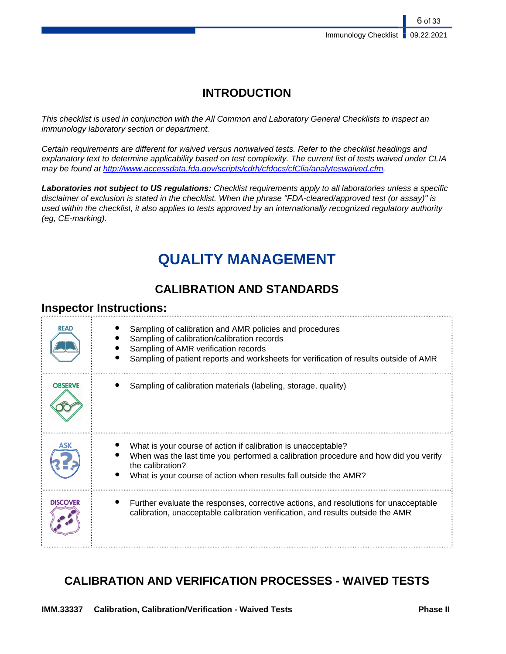# **INTRODUCTION**

This checklist is used in conjunction with the All Common and Laboratory General Checklists to inspect an immunology laboratory section or department.

Certain requirements are different for waived versus nonwaived tests. Refer to the checklist headings and explanatory text to determine applicability based on test complexity. The current list of tests waived under CLIA may be found at [http://www.accessdata.fda.gov/scripts/cdrh/cfdocs/cfClia/analyteswaived.cfm.](http://www.accessdata.fda.gov/scripts/cdrh/cfdocs/cfClia/analyteswaived.cfm)

**Laboratories not subject to US regulations:** Checklist requirements apply to all laboratories unless a specific disclaimer of exclusion is stated in the checklist. When the phrase "FDA-cleared/approved test (or assay)" is used within the checklist, it also applies to tests approved by an internationally recognized regulatory authority (eg, CE-marking).

# **QUALITY MANAGEMENT**

# **CALIBRATION AND STANDARDS**

# **Inspector Instructions:**

| <b>READ</b>     | Sampling of calibration and AMR policies and procedures<br>Sampling of calibration/calibration records<br>Sampling of AMR verification records<br>Sampling of patient reports and worksheets for verification of results outside of AMR      |
|-----------------|----------------------------------------------------------------------------------------------------------------------------------------------------------------------------------------------------------------------------------------------|
| <b>OBSERVE</b>  | Sampling of calibration materials (labeling, storage, quality)                                                                                                                                                                               |
|                 | What is your course of action if calibration is unacceptable?<br>When was the last time you performed a calibration procedure and how did you verify<br>the calibration?<br>What is your course of action when results fall outside the AMR? |
| <b>DISCOVER</b> | Further evaluate the responses, corrective actions, and resolutions for unacceptable<br>calibration, unacceptable calibration verification, and results outside the AMR                                                                      |

# **CALIBRATION AND VERIFICATION PROCESSES - WAIVED TESTS**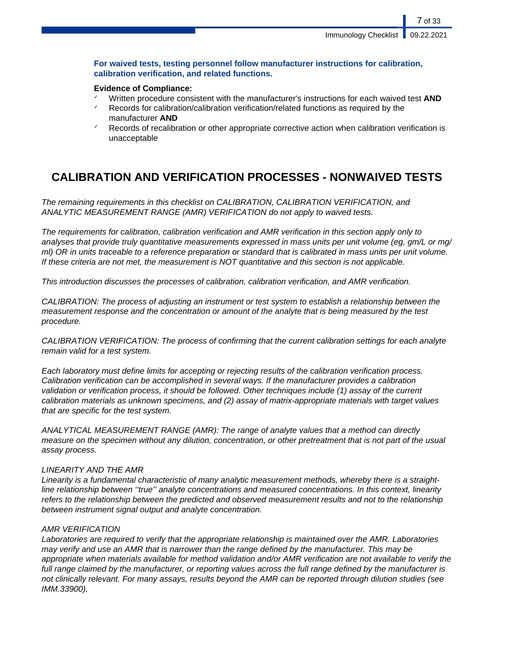## **For waived tests, testing personnel follow manufacturer instructions for calibration, calibration verification, and related functions.**

## **Evidence of Compliance:**

- ✓ Written procedure consistent with the manufacturer's instructions for each waived test **AND**
- Records for calibration/calibration verification/related functions as required by the manufacturer **AND**
- Records of recalibration or other appropriate corrective action when calibration verification is unacceptable

# **CALIBRATION AND VERIFICATION PROCESSES - NONWAIVED TESTS**

The remaining requirements in this checklist on CALIBRATION, CALIBRATION VERIFICATION, and ANALYTIC MEASUREMENT RANGE (AMR) VERIFICATION do not apply to waived tests.

The requirements for calibration, calibration verification and AMR verification in this section apply only to analyses that provide truly quantitative measurements expressed in mass units per unit volume (eg, gm/L or mg/ ml) OR in units traceable to a reference preparation or standard that is calibrated in mass units per unit volume. If these criteria are not met, the measurement is NOT quantitative and this section is not applicable.

This introduction discusses the processes of calibration, calibration verification, and AMR verification.

CALIBRATION: The process of adjusting an instrument or test system to establish a relationship between the measurement response and the concentration or amount of the analyte that is being measured by the test procedure.

CALIBRATION VERIFICATION: The process of confirming that the current calibration settings for each analyte remain valid for a test system.

Each laboratory must define limits for accepting or rejecting results of the calibration verification process. Calibration verification can be accomplished in several ways. If the manufacturer provides a calibration validation or verification process, it should be followed. Other techniques include (1) assay of the current calibration materials as unknown specimens, and (2) assay of matrix-appropriate materials with target values that are specific for the test system.

ANALYTICAL MEASUREMENT RANGE (AMR): The range of analyte values that a method can directly measure on the specimen without any dilution, concentration, or other pretreatment that is not part of the usual assay process.

## LINEARITY AND THE AMR

Linearity is a fundamental characteristic of many analytic measurement methods, whereby there is a straightline relationship between ''true'' analyte concentrations and measured concentrations. In this context, linearity refers to the relationship between the predicted and observed measurement results and not to the relationship between instrument signal output and analyte concentration.

## AMR VERIFICATION

Laboratories are required to verify that the appropriate relationship is maintained over the AMR. Laboratories may verify and use an AMR that is narrower than the range defined by the manufacturer. This may be appropriate when materials available for method validation and/or AMR verification are not available to verify the full range claimed by the manufacturer, or reporting values across the full range defined by the manufacturer is not clinically relevant. For many assays, results beyond the AMR can be reported through dilution studies (see IMM.33900).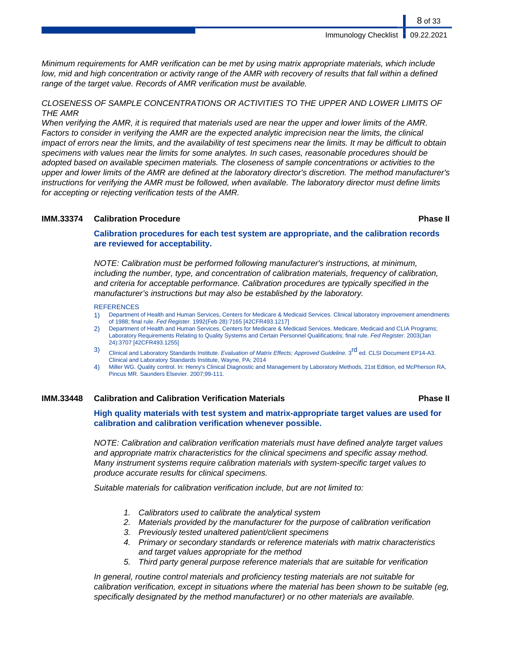Minimum requirements for AMR verification can be met by using matrix appropriate materials, which include low, mid and high concentration or activity range of the AMR with recovery of results that fall within a defined range of the target value. Records of AMR verification must be available.

CLOSENESS OF SAMPLE CONCENTRATIONS OR ACTIVITIES TO THE UPPER AND LOWER LIMITS OF THE AMR

When verifying the AMR, it is required that materials used are near the upper and lower limits of the AMR. Factors to consider in verifying the AMR are the expected analytic imprecision near the limits, the clinical impact of errors near the limits, and the availability of test specimens near the limits. It may be difficult to obtain specimens with values near the limits for some analytes. In such cases, reasonable procedures should be adopted based on available specimen materials. The closeness of sample concentrations or activities to the upper and lower limits of the AMR are defined at the laboratory director's discretion. The method manufacturer's instructions for verifying the AMR must be followed, when available. The laboratory director must define limits for accepting or rejecting verification tests of the AMR.

### **IMM.33374 Calibration Procedure Phase II**

**Calibration procedures for each test system are appropriate, and the calibration records are reviewed for acceptability.**

NOTE: Calibration must be performed following manufacturer's instructions, at minimum, including the number, type, and concentration of calibration materials, frequency of calibration, and criteria for acceptable performance. Calibration procedures are typically specified in the manufacturer's instructions but may also be established by the laboratory.

### **REFERENCES**

- 1) Department of Health and Human Services, Centers for Medicare & Medicaid Services. Clinical laboratory improvement amendments of 1988; final rule. Fed Register. 1992(Feb 28):7165 [42CFR493.1217]
- 2) Department of Health and Human Services, Centers for Medicare & Medicaid Services. Medicare, Medicaid and CLIA Programs; Laboratory Requirements Relating to Quality Systems and Certain Personnel Qualifications; final rule. Fed Register. 2003(Jan 24):3707 [42CFR493.1255]
- 3) Clinical and Laboratory Standards Institute. Evaluation of Matrix Effects; Approved Guideline. 3<sup>rd</sup> ed. CLSI Document EP14-A3. Clinical and Laboratory Standards Institute, Wayne, PA; 2014
- 4) Miller WG. Quality control. In: Henry's Clinical Diagnostic and Management by Laboratory Methods, 21st Edition, ed McPherson RA, Pincus MR. Saunders Elsevier. 2007;99-111.

### **IMM.33448 Calibration and Calibration Verification Materials Phase II**

**High quality materials with test system and matrix-appropriate target values are used for calibration and calibration verification whenever possible.**

NOTE: Calibration and calibration verification materials must have defined analyte target values and appropriate matrix characteristics for the clinical specimens and specific assay method. Many instrument systems require calibration materials with system-specific target values to produce accurate results for clinical specimens.

Suitable materials for calibration verification include, but are not limited to:

- 1. Calibrators used to calibrate the analytical system
- 2. Materials provided by the manufacturer for the purpose of calibration verification
- 3. Previously tested unaltered patient/client specimens
- 4. Primary or secondary standards or reference materials with matrix characteristics and target values appropriate for the method
- 5. Third party general purpose reference materials that are suitable for verification

In general, routine control materials and proficiency testing materials are not suitable for calibration verification, except in situations where the material has been shown to be suitable (eg, specifically designated by the method manufacturer) or no other materials are available.

8 of 33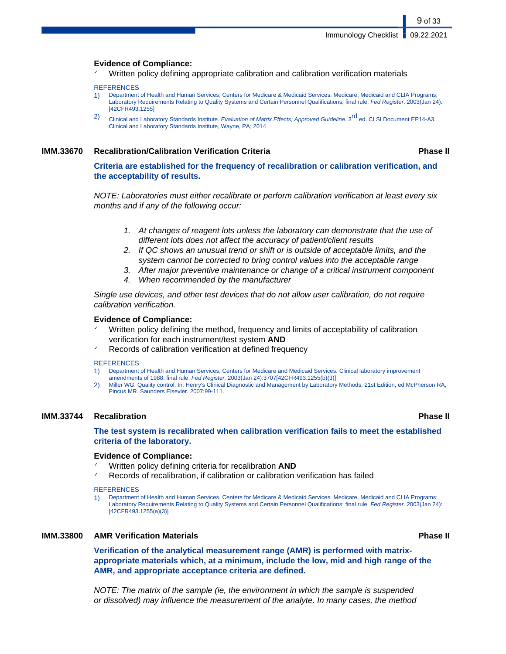### **Evidence of Compliance:**

Written policy defining appropriate calibration and calibration verification materials

### **REFERENCES**

- 1) Department of Health and Human Services, Centers for Medicare & Medicaid Services. Medicare, Medicaid and CLIA Programs; Laboratory Requirements Relating to Quality Systems and Certain Personnel Qualifications; final rule. Fed Register. 2003(Jan 24): [42CFR493.1255]
- 2) Clinical and Laboratory Standards Institute. Evaluation of Matrix Effects; Approved Guideline. 3<sup>rd</sup> ed. CLSI Document EP14-A3. Clinical and Laboratory Standards Institute, Wayne, PA; 2014

### **IMM.33670 Recalibration/Calibration Verification Criteria Phase II**

9 of 33

**Criteria are established for the frequency of recalibration or calibration verification, and the acceptability of results.**

NOTE: Laboratories must either recalibrate or perform calibration verification at least every six months and if any of the following occur:

- 1. At changes of reagent lots unless the laboratory can demonstrate that the use of different lots does not affect the accuracy of patient/client results
- 2. If QC shows an unusual trend or shift or is outside of acceptable limits, and the system cannot be corrected to bring control values into the acceptable range
- 3. After major preventive maintenance or change of a critical instrument component
- 4. When recommended by the manufacturer

Single use devices, and other test devices that do not allow user calibration, do not require calibration verification.

### **Evidence of Compliance:**

- Written policy defining the method, frequency and limits of acceptability of calibration verification for each instrument/test system **AND**
- Records of calibration verification at defined frequency

### **REFERENCES**

- 1) Department of Health and Human Services, Centers for Medicare and Medicaid Services. Clinical laboratory improvement amendments of 1988; final rule. Fed Register. 2003(Jan 24):3707[42CFR493.1255(b)(3)]
- 2) Miller WG. Quality control. In: Henry's Clinical Diagnostic and Management by Laboratory Methods, 21st Edition, ed McPherson RA, Pincus MR. Saunders Elsevier. 2007:99-111.

### **IMM.33744 Recalibration Phase II**

### **The test system is recalibrated when calibration verification fails to meet the established criteria of the laboratory.**

### **Evidence of Compliance:**

- Written policy defining criteria for recalibration **AND**
- Records of recalibration, if calibration or calibration verification has failed

### **REFERENCES**

1) Department of Health and Human Services, Centers for Medicare & Medicaid Services. Medicare, Medicaid and CLIA Programs; Laboratory Requirements Relating to Quality Systems and Certain Personnel Qualifications; final rule. Fed Register. 2003(Jan 24): [42CFR493.1255(a)(3)]

### **IMM.33800 AMR Verification Materials Phase II**

**Verification of the analytical measurement range (AMR) is performed with matrixappropriate materials which, at a minimum, include the low, mid and high range of the AMR, and appropriate acceptance criteria are defined.**

NOTE: The matrix of the sample (ie, the environment in which the sample is suspended or dissolved) may influence the measurement of the analyte. In many cases, the method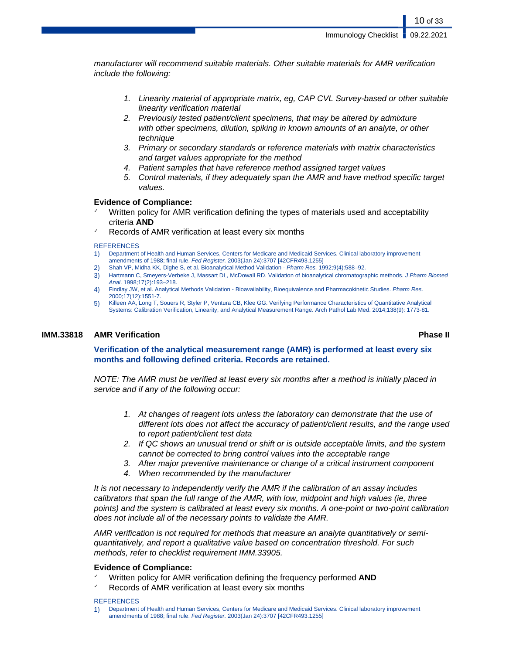manufacturer will recommend suitable materials. Other suitable materials for AMR verification include the following:

- 1. Linearity material of appropriate matrix, eg, CAP CVL Survey-based or other suitable linearity verification material
- 2. Previously tested patient/client specimens, that may be altered by admixture with other specimens, dilution, spiking in known amounts of an analyte, or other technique
- 3. Primary or secondary standards or reference materials with matrix characteristics and target values appropriate for the method
- 4. Patient samples that have reference method assigned target values
- 5. Control materials, if they adequately span the AMR and have method specific target values.

### **Evidence of Compliance:**

- Written policy for AMR verification defining the types of materials used and acceptability criteria **AND**
- Records of AMR verification at least every six months

### **REFERENCES**

- 1) Department of Health and Human Services, Centers for Medicare and Medicaid Services. Clinical laboratory improvement amendments of 1988; final rule. Fed Register. 2003(Jan 24):3707 [42CFR493.1255]
- 2) Shah VP, Midha KK, Dighe S, et al. Bioanalytical Method Validation Pharm Res. 1992;9(4):588–92.
- 3) Hartmann C, Smeyers-Verbeke J, Massart DL, McDowall RD. Validation of bioanalytical chromatographic methods. J Pharm Biomed Anal. 1998;17(2):193–218.
- 4) Findlay JW, et al. Analytical Methods Validation Bioavailability, Bioequivalence and Pharmacokinetic Studies. Pharm Res. 2000;17(12):1551-7.
- 5) Killeen AA, Long T, Souers R, Styler P, Ventura CB, Klee GG. Verifying Performance Characteristics of Quantitative Analytical Systems: Calibration Verification, Linearity, and Analytical Measurement Range. Arch Pathol Lab Med. 2014;138(9): 1773-81.

### **IMM.33818 AMR Verification Phase II**

**Verification of the analytical measurement range (AMR) is performed at least every six months and following defined criteria. Records are retained.**

NOTE: The AMR must be verified at least every six months after a method is initially placed in service and if any of the following occur:

- 1. At changes of reagent lots unless the laboratory can demonstrate that the use of different lots does not affect the accuracy of patient/client results, and the range used to report patient/client test data
- 2. If QC shows an unusual trend or shift or is outside acceptable limits, and the system cannot be corrected to bring control values into the acceptable range
- 3. After major preventive maintenance or change of a critical instrument component
- 4. When recommended by the manufacturer

It is not necessary to independently verify the AMR if the calibration of an assay includes calibrators that span the full range of the AMR, with low, midpoint and high values (ie, three points) and the system is calibrated at least every six months. A one-point or two-point calibration does not include all of the necessary points to validate the AMR.

AMR verification is not required for methods that measure an analyte quantitatively or semiquantitatively, and report a qualitative value based on concentration threshold. For such methods, refer to checklist requirement IMM.33905.

### **Evidence of Compliance:**

- ✓ Written policy for AMR verification defining the frequency performed **AND**
- Records of AMR verification at least every six months

### **REFERENCES**

1) Department of Health and Human Services, Centers for Medicare and Medicaid Services. Clinical laboratory improvement amendments of 1988; final rule. Fed Register. 2003(Jan 24):3707 [42CFR493.1255]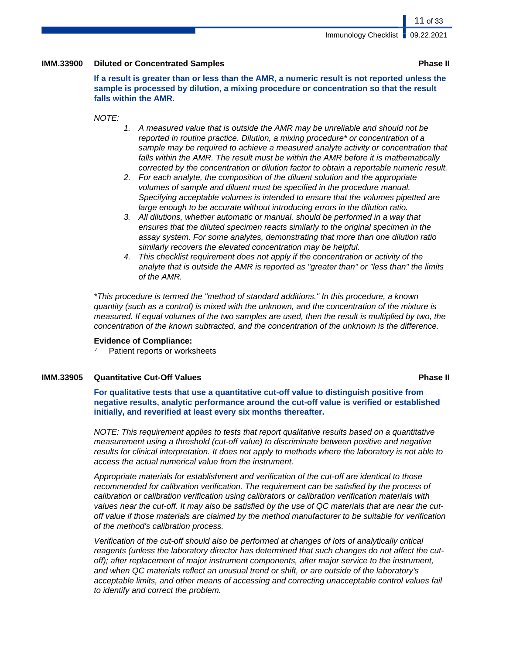### **IMM.33900 Diluted or Concentrated Samples Phase II**

**If a result is greater than or less than the AMR, a numeric result is not reported unless the sample is processed by dilution, a mixing procedure or concentration so that the result falls within the AMR.**

NOTE:

- 1. A measured value that is outside the AMR may be unreliable and should not be reported in routine practice. Dilution, a mixing procedure\* or concentration of a sample may be required to achieve a measured analyte activity or concentration that falls within the AMR. The result must be within the AMR before it is mathematically corrected by the concentration or dilution factor to obtain a reportable numeric result.
- 2. For each analyte, the composition of the diluent solution and the appropriate volumes of sample and diluent must be specified in the procedure manual. Specifying acceptable volumes is intended to ensure that the volumes pipetted are large enough to be accurate without introducing errors in the dilution ratio.
- 3. All dilutions, whether automatic or manual, should be performed in a way that ensures that the diluted specimen reacts similarly to the original specimen in the assay system. For some analytes, demonstrating that more than one dilution ratio similarly recovers the elevated concentration may be helpful.
- 4. This checklist requirement does not apply if the concentration or activity of the analyte that is outside the AMR is reported as "greater than" or "less than" the limits of the AMR.

\*This procedure is termed the "method of standard additions." In this procedure, a known quantity (such as a control) is mixed with the unknown, and the concentration of the mixture is measured. If equal volumes of the two samples are used, then the result is multiplied by two, the concentration of the known subtracted, and the concentration of the unknown is the difference.

### **Evidence of Compliance:**

Patient reports or worksheets

### **IMM.33905 Quantitative Cut-Off Values Phase II**

**For qualitative tests that use a quantitative cut-off value to distinguish positive from negative results, analytic performance around the cut-off value is verified or established initially, and reverified at least every six months thereafter.**

NOTE: This requirement applies to tests that report qualitative results based on a quantitative measurement using a threshold (cut-off value) to discriminate between positive and negative results for clinical interpretation. It does not apply to methods where the laboratory is not able to access the actual numerical value from the instrument.

Appropriate materials for establishment and verification of the cut-off are identical to those recommended for calibration verification. The requirement can be satisfied by the process of calibration or calibration verification using calibrators or calibration verification materials with values near the cut-off. It may also be satisfied by the use of QC materials that are near the cutoff value if those materials are claimed by the method manufacturer to be suitable for verification of the method's calibration process.

Verification of the cut-off should also be performed at changes of lots of analytically critical reagents (unless the laboratory director has determined that such changes do not affect the cutoff); after replacement of major instrument components, after major service to the instrument, and when QC materials reflect an unusual trend or shift, or are outside of the laboratory's acceptable limits, and other means of accessing and correcting unacceptable control values fail to identify and correct the problem.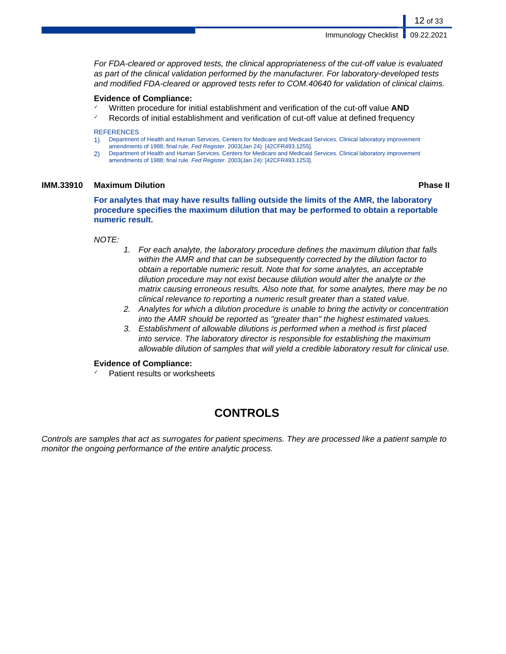For FDA-cleared or approved tests, the clinical appropriateness of the cut-off value is evaluated as part of the clinical validation performed by the manufacturer. For laboratory-developed tests and modified FDA-cleared or approved tests refer to COM.40640 for validation of clinical claims.

### **Evidence of Compliance:**

- Written procedure for initial establishment and verification of the cut-off value AND
- ✓ Records of initial establishment and verification of cut-off value at defined frequency

## **REFERENCES**

- 1) Department of Health and Human Services, Centers for Medicare and Medicaid Services. Clinical laboratory improvement amendments of 1988; final rule. Fed Register. 2003(Jan 24): [42CFR493.1255].
- 2) Department of Health and Human Services, Centers for Medicare and Medicaid Services. Clinical laboratory improvement amendments of 1988; final rule. Fed Register. 2003(Jan 24): [42CFR493.1253].

### **IMM.33910 Maximum Dilution Phase II**

12 of 33

**For analytes that may have results falling outside the limits of the AMR, the laboratory procedure specifies the maximum dilution that may be performed to obtain a reportable numeric result.**

### NOTE:

- 1. For each analyte, the laboratory procedure defines the maximum dilution that falls within the AMR and that can be subsequently corrected by the dilution factor to obtain a reportable numeric result. Note that for some analytes, an acceptable dilution procedure may not exist because dilution would alter the analyte or the matrix causing erroneous results. Also note that, for some analytes, there may be no clinical relevance to reporting a numeric result greater than a stated value.
- 2. Analytes for which a dilution procedure is unable to bring the activity or concentration into the AMR should be reported as "greater than" the highest estimated values.
- 3. Establishment of allowable dilutions is performed when a method is first placed into service. The laboratory director is responsible for establishing the maximum allowable dilution of samples that will yield a credible laboratory result for clinical use.

### **Evidence of Compliance:**

Patient results or worksheets

# **CONTROLS**

Controls are samples that act as surrogates for patient specimens. They are processed like a patient sample to monitor the ongoing performance of the entire analytic process.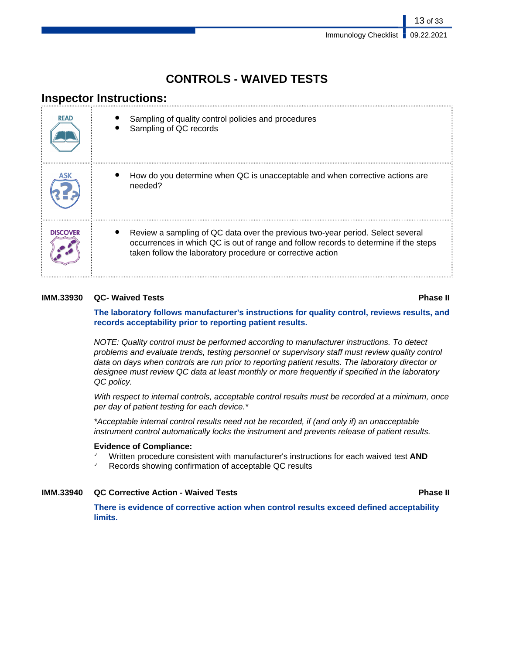# **CONTROLS - WAIVED TESTS**

# **Inspector Instructions:**

| <b>READ</b>     | Sampling of quality control policies and procedures<br>Sampling of QC records                                                                                                                                                        |
|-----------------|--------------------------------------------------------------------------------------------------------------------------------------------------------------------------------------------------------------------------------------|
|                 | How do you determine when QC is unacceptable and when corrective actions are<br>needed?                                                                                                                                              |
| <b>DISCOVER</b> | Review a sampling of QC data over the previous two-year period. Select several<br>occurrences in which QC is out of range and follow records to determine if the steps<br>taken follow the laboratory procedure or corrective action |

## **IMM.33930 QC- Waived Tests Phase II**

**The laboratory follows manufacturer's instructions for quality control, reviews results, and records acceptability prior to reporting patient results.**

NOTE: Quality control must be performed according to manufacturer instructions. To detect problems and evaluate trends, testing personnel or supervisory staff must review quality control data on days when controls are run prior to reporting patient results. The laboratory director or designee must review QC data at least monthly or more frequently if specified in the laboratory QC policy.

With respect to internal controls, acceptable control results must be recorded at a minimum, once per day of patient testing for each device.\*

\*Acceptable internal control results need not be recorded, if (and only if) an unacceptable instrument control automatically locks the instrument and prevents release of patient results.

## **Evidence of Compliance:**

- ✓ Written procedure consistent with manufacturer's instructions for each waived test **AND**
- ✓ Records showing confirmation of acceptable QC results

## **IMM.33940 QC Corrective Action - Waived Tests Phase II**

**There is evidence of corrective action when control results exceed defined acceptability limits.**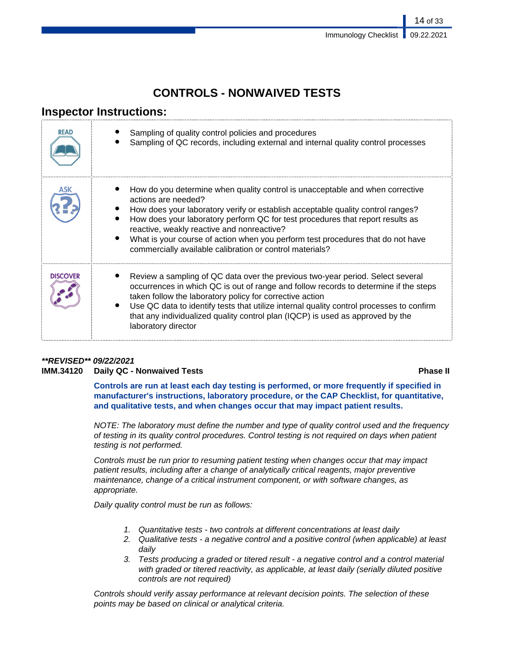# **CONTROLS - NONWAIVED TESTS**

# **Inspector Instructions:**

| <b>READ</b>     | Sampling of quality control policies and procedures<br>Sampling of QC records, including external and internal quality control processes                                                                                                                                                                                                                                                                                                                               |
|-----------------|------------------------------------------------------------------------------------------------------------------------------------------------------------------------------------------------------------------------------------------------------------------------------------------------------------------------------------------------------------------------------------------------------------------------------------------------------------------------|
| ASK             | How do you determine when quality control is unacceptable and when corrective<br>actions are needed?<br>How does your laboratory verify or establish acceptable quality control ranges?<br>How does your laboratory perform QC for test procedures that report results as<br>reactive, weakly reactive and nonreactive?<br>What is your course of action when you perform test procedures that do not have<br>commercially available calibration or control materials? |
| <b>DISCOVER</b> | Review a sampling of QC data over the previous two-year period. Select several<br>occurrences in which QC is out of range and follow records to determine if the steps<br>taken follow the laboratory policy for corrective action<br>Use QC data to identify tests that utilize internal quality control processes to confirm<br>that any individualized quality control plan (IQCP) is used as approved by the<br>laboratory director                                |

## **\*\*REVISED\*\* 09/22/2021 IMM.34120 Daily QC - Nonwaived Tests Phase II**

**Controls are run at least each day testing is performed, or more frequently if specified in manufacturer's instructions, laboratory procedure, or the CAP Checklist, for quantitative, and qualitative tests, and when changes occur that may impact patient results.**

NOTE: The laboratory must define the number and type of quality control used and the frequency of testing in its quality control procedures. Control testing is not required on days when patient testing is not performed.

Controls must be run prior to resuming patient testing when changes occur that may impact patient results, including after a change of analytically critical reagents, major preventive maintenance, change of a critical instrument component, or with software changes, as appropriate.

Daily quality control must be run as follows:

- 1. Quantitative tests two controls at different concentrations at least daily
- 2. Qualitative tests a negative control and a positive control (when applicable) at least daily
- 3. Tests producing a graded or titered result a negative control and a control material with graded or titered reactivity, as applicable, at least daily (serially diluted positive controls are not required)

Controls should verify assay performance at relevant decision points. The selection of these points may be based on clinical or analytical criteria.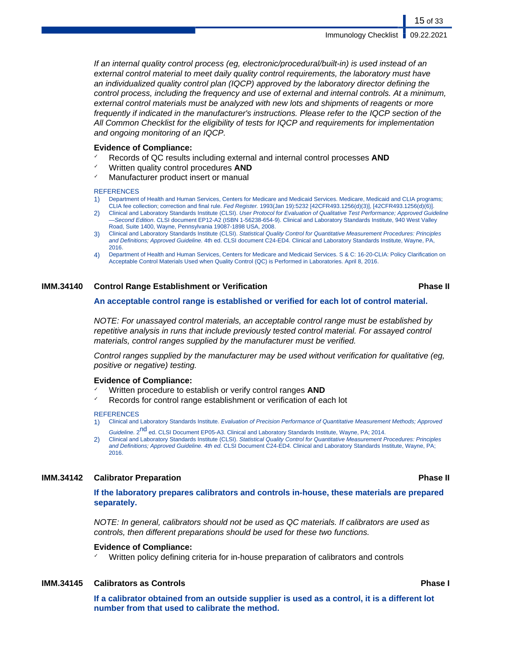If an internal quality control process (eg, electronic/procedural/built-in) is used instead of an external control material to meet daily quality control requirements, the laboratory must have an individualized quality control plan (IQCP) approved by the laboratory director defining the control process, including the frequency and use of external and internal controls. At a minimum, external control materials must be analyzed with new lots and shipments of reagents or more frequently if indicated in the manufacturer's instructions. Please refer to the IQCP section of the All Common Checklist for the eligibility of tests for IQCP and requirements for implementation and ongoing monitoring of an IQCP.

### **Evidence of Compliance:**

- Records of QC results including external and internal control processes **AND**
- Written quality control procedures **AND**
- Manufacturer product insert or manual

### **REFERENCES**

- 1) Department of Health and Human Services, Centers for Medicare and Medicaid Services. Medicare, Medicaid and CLIA programs; CLIA fee collection; correction and final rule. Fed Register. 1993(Jan 19):5232 [42CFR493.1256(d)(3)], [42CFR493.1256(d)(6)].
- 2) Clinical and Laboratory Standards Institute (CLSI). User Protocol for Evaluation of Qualitative Test Performance; Approved Guideline -Second Edition. CLSI document EP12-A2 (ISBN 1-56238-654-9). Clinical and Laboratory Standards Institute, 940 West Valley Road, Suite 1400, Wayne, Pennsylvania 19087-1898 USA, 2008.
- 3) Clinical and Laboratory Standards Institute (CLSI). Statistical Quality Control for Quantitative Measurement Procedures: Principles and Definitions; Approved Guideline. 4th ed. CLSI document C24-ED4. Clinical and Laboratory Standards Institute, Wayne, PA, 2016.
- 4) Department of Health and Human Services, Centers for Medicare and Medicaid Services. S & C: 16-20-CLIA: Policy Clarification on Acceptable Control Materials Used when Quality Control (QC) is Performed in Laboratories. April 8, 2016.

### **IMM.34140 Control Range Establishment or Verification Phase II**

### **An acceptable control range is established or verified for each lot of control material.**

NOTE: For unassayed control materials, an acceptable control range must be established by repetitive analysis in runs that include previously tested control material. For assayed control materials, control ranges supplied by the manufacturer must be verified.

Control ranges supplied by the manufacturer may be used without verification for qualitative (eg, positive or negative) testing.

### **Evidence of Compliance:**

- Written procedure to establish or verify control ranges **AND**
- Records for control range establishment or verification of each lot

### REFERENCES

- 1) Clinical and Laboratory Standards Institute. Evaluation of Precision Performance of Quantitative Measurement Methods; Approved Guideline. 2<sup>nd</sup> ed. CLSI Document EP05-A3. Clinical and Laboratory Standards Institute, Wayne, PA; 2014.
- 2) Clinical and Laboratory Standards Institute (CLSI). Statistical Quality Control for Quantitative Measurement Procedures: Principles and Definitions; Approved Guideline. 4th ed. CLSI Document C24-ED4. Clinical and Laboratory Standards Institute, Wayne, PA; 2016.

### **IMM.34142 Calibrator Preparation Phase II**

**If the laboratory prepares calibrators and controls in-house, these materials are prepared separately.**

NOTE: In general, calibrators should not be used as QC materials. If calibrators are used as controls, then different preparations should be used for these two functions.

### **Evidence of Compliance:**

Written policy defining criteria for in-house preparation of calibrators and controls

### **IMM.34145 Calibrators as Controls Phase I**

**If a calibrator obtained from an outside supplier is used as a control, it is a different lot number from that used to calibrate the method.**

## 15 of 33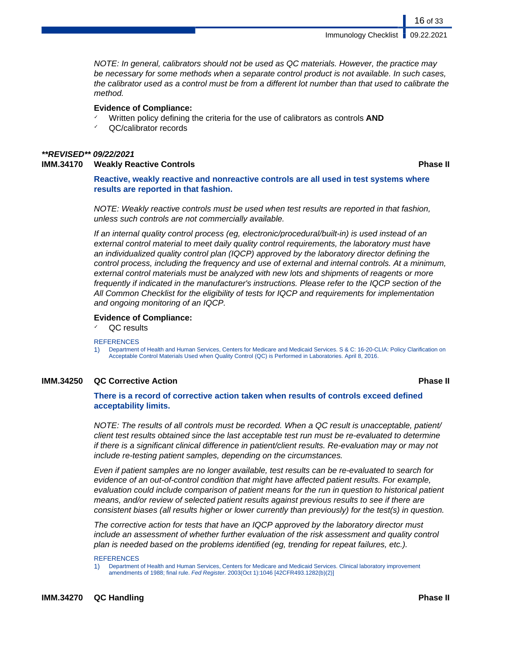NOTE: In general, calibrators should not be used as QC materials. However, the practice may be necessary for some methods when a separate control product is not available. In such cases, the calibrator used as a control must be from a different lot number than that used to calibrate the method.

### **Evidence of Compliance:**

- Written policy defining the criteria for the use of calibrators as controls **AND**
- QC/calibrator records

# **\*\*REVISED\*\* 09/22/2021**

**IMM.34170 Weakly Reactive Controls Phase II**

16 of 33

**Reactive, weakly reactive and nonreactive controls are all used in test systems where results are reported in that fashion.**

NOTE: Weakly reactive controls must be used when test results are reported in that fashion, unless such controls are not commercially available.

If an internal quality control process (eg, electronic/procedural/built-in) is used instead of an external control material to meet daily quality control requirements, the laboratory must have an individualized quality control plan (IQCP) approved by the laboratory director defining the control process, including the frequency and use of external and internal controls. At a minimum, external control materials must be analyzed with new lots and shipments of reagents or more frequently if indicated in the manufacturer's instructions. Please refer to the IQCP section of the All Common Checklist for the eligibility of tests for IQCP and requirements for implementation and ongoing monitoring of an IQCP.

### **Evidence of Compliance:**

QC results

### **REFERENCES**

1) Department of Health and Human Services, Centers for Medicare and Medicaid Services. S & C: 16-20-CLIA: Policy Clarification on Acceptable Control Materials Used when Quality Control (QC) is Performed in Laboratories. April 8, 2016.

## **IMM.34250 QC Corrective Action Phase II**

### **There is a record of corrective action taken when results of controls exceed defined acceptability limits.**

NOTE: The results of all controls must be recorded. When a QC result is unacceptable, patient/ client test results obtained since the last acceptable test run must be re-evaluated to determine if there is a significant clinical difference in patient/client results. Re-evaluation may or may not include re-testing patient samples, depending on the circumstances.

Even if patient samples are no longer available, test results can be re-evaluated to search for evidence of an out-of-control condition that might have affected patient results. For example, evaluation could include comparison of patient means for the run in question to historical patient means, and/or review of selected patient results against previous results to see if there are consistent biases (all results higher or lower currently than previously) for the test(s) in question.

The corrective action for tests that have an IQCP approved by the laboratory director must include an assessment of whether further evaluation of the risk assessment and quality control plan is needed based on the problems identified (eg, trending for repeat failures, etc.).

### **REFERENCES**

1) Department of Health and Human Services, Centers for Medicare and Medicaid Services. Clinical laboratory improvement amendments of 1988; final rule. Fed Register. 2003(Oct 1):1046 [42CFR493.1282(b)(2)]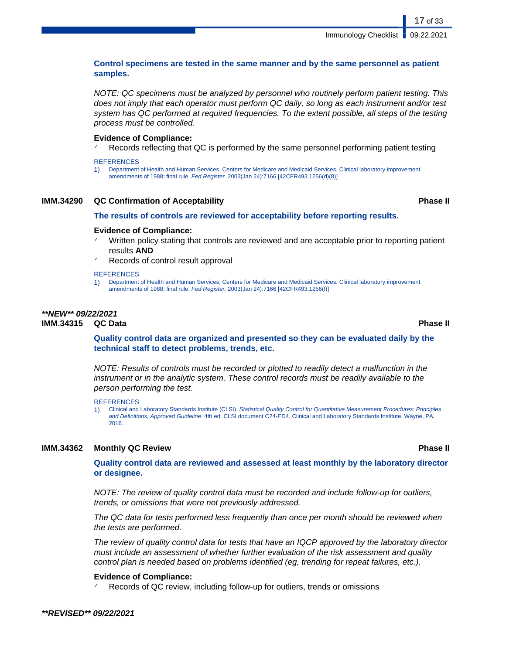## **Control specimens are tested in the same manner and by the same personnel as patient samples.**

NOTE: QC specimens must be analyzed by personnel who routinely perform patient testing. This does not imply that each operator must perform QC daily, so long as each instrument and/or test system has QC performed at required frequencies. To the extent possible, all steps of the testing process must be controlled.

### **Evidence of Compliance:**

Records reflecting that QC is performed by the same personnel performing patient testing

### **REFERENCES**

1) Department of Health and Human Services, Centers for Medicare and Medicaid Services. Clinical laboratory improvement amendments of 1988; final rule. Fed Register. 2003(Jan 24):7166 [42CFR493.1256(d)(8)]

### **IMM.34290 QC Confirmation of Acceptability Phase II**

### **The results of controls are reviewed for acceptability before reporting results.**

### **Evidence of Compliance:**

- Written policy stating that controls are reviewed and are acceptable prior to reporting patient results **AND**
- Records of control result approval

### **REFERENCES**

1) Department of Health and Human Services, Centers for Medicare and Medicaid Services. Clinical laboratory improvement amendments of 1988; final rule. Fed Register. 2003(Jan 24):7166 [42CFR493.1256(f)]

## **\*\*NEW\*\* 09/22/2021 IMM.34315 QC Data Phase II**

**Quality control data are organized and presented so they can be evaluated daily by the technical staff to detect problems, trends, etc.**

NOTE: Results of controls must be recorded or plotted to readily detect a malfunction in the instrument or in the analytic system. These control records must be readily available to the person performing the test.

**REFERENCES** 

1) Clinical and Laboratory Standards Institute (CLSI). Statistical Quality Control for Quantitative Measurement Procedures: Principles and Definitions; Approved Guideline. 4th ed. CLSI document C24-ED4. Clinical and Laboratory Standards Institute, Wayne, PA, 2016.

### **IMM.34362 Monthly QC Review Phase II**

## **Quality control data are reviewed and assessed at least monthly by the laboratory director or designee.**

NOTE: The review of quality control data must be recorded and include follow-up for outliers, trends, or omissions that were not previously addressed.

The QC data for tests performed less frequently than once per month should be reviewed when the tests are performed.

The review of quality control data for tests that have an IQCP approved by the laboratory director must include an assessment of whether further evaluation of the risk assessment and quality control plan is needed based on problems identified (eg, trending for repeat failures, etc.).

### **Evidence of Compliance:**

Records of QC review, including follow-up for outliers, trends or omissions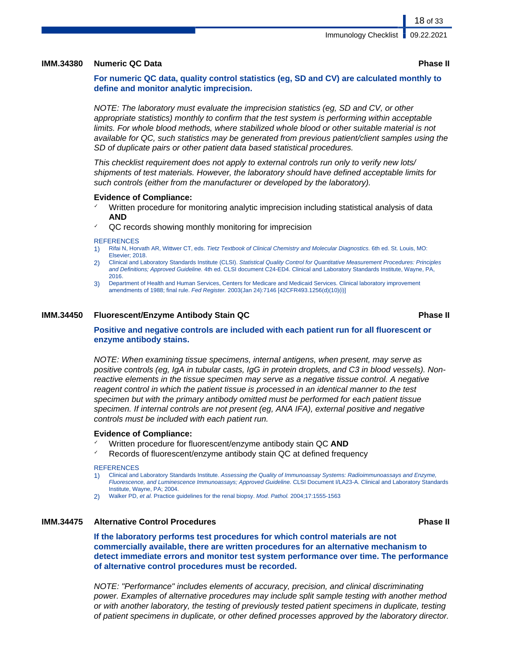### **IMM.34380 Numeric QC Data Phase II**

**For numeric QC data, quality control statistics (eg, SD and CV) are calculated monthly to define and monitor analytic imprecision.**

NOTE: The laboratory must evaluate the imprecision statistics (eg, SD and CV, or other appropriate statistics) monthly to confirm that the test system is performing within acceptable limits. For whole blood methods, where stabilized whole blood or other suitable material is not available for QC, such statistics may be generated from previous patient/client samples using the SD of duplicate pairs or other patient data based statistical procedures.

This checklist requirement does not apply to external controls run only to verify new lots/ shipments of test materials. However, the laboratory should have defined acceptable limits for such controls (either from the manufacturer or developed by the laboratory).

### **Evidence of Compliance:**

- Written procedure for monitoring analytic imprecision including statistical analysis of data **AND**
- QC records showing monthly monitoring for imprecision

### **REFERENCES**

- 1) Rifai N, Horvath AR, Wittwer CT, eds. Tietz Textbook of Clinical Chemistry and Molecular Diagnostics. 6th ed. St. Louis, MO: Elsevier; 2018.
- 2) Clinical and Laboratory Standards Institute (CLSI). Statistical Quality Control for Quantitative Measurement Procedures: Principles and Definitions; Approved Guideline. 4th ed. CLSI document C24-ED4. Clinical and Laboratory Standards Institute, Wayne, PA, 2016.
- 3) Department of Health and Human Services, Centers for Medicare and Medicaid Services. Clinical laboratory improvement amendments of 1988; final rule. Fed Register. 2003(Jan 24):7146 [42CFR493.1256(d)(10)(i)]

### **IMM.34450 Fluorescent/Enzyme Antibody Stain QC Phase II**

### **Positive and negative controls are included with each patient run for all fluorescent or enzyme antibody stains.**

NOTE: When examining tissue specimens, internal antigens, when present, may serve as positive controls (eg, IgA in tubular casts, IgG in protein droplets, and C3 in blood vessels). Nonreactive elements in the tissue specimen may serve as a negative tissue control. A negative reagent control in which the patient tissue is processed in an identical manner to the test specimen but with the primary antibody omitted must be performed for each patient tissue specimen. If internal controls are not present (eg, ANA IFA), external positive and negative controls must be included with each patient run.

### **Evidence of Compliance:**

- ✓ Written procedure for fluorescent/enzyme antibody stain QC **AND**
- Records of fluorescent/enzyme antibody stain QC at defined frequency

### **REFERENCES**

- 1) Clinical and Laboratory Standards Institute. Assessing the Quality of Immunoassay Systems: Radioimmunoassays and Enzyme, Fluorescence, and Luminescence Immunoassays; Approved Guideline. CLSI Document I/LA23-A. Clinical and Laboratory Standards Institute, Wayne, PA; 2004.
- 2) Walker PD, et al. Practice guidelines for the renal biopsy. Mod. Pathol. 2004;17:1555-1563

## **IMM.34475 Alternative Control Procedures Phase II**

**If the laboratory performs test procedures for which control materials are not commercially available, there are written procedures for an alternative mechanism to detect immediate errors and monitor test system performance over time. The performance of alternative control procedures must be recorded.**

NOTE: "Performance" includes elements of accuracy, precision, and clinical discriminating power. Examples of alternative procedures may include split sample testing with another method or with another laboratory, the testing of previously tested patient specimens in duplicate, testing of patient specimens in duplicate, or other defined processes approved by the laboratory director.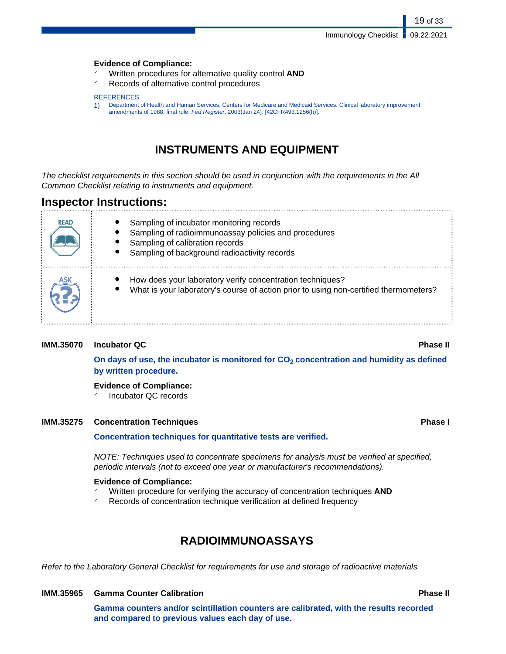### **Evidence of Compliance:**

- ✓ Written procedures for alternative quality control **AND**
- Records of alternative control procedures

### **REFERENCES**

1) Department of Health and Human Services, Centers for Medicare and Medicaid Services. Clinical laboratory improvement amendments of 1988; final rule. Fed Register. 2003(Jan 24): [42CFR493.1256(h)].

# **INSTRUMENTS AND EQUIPMENT**

The checklist requirements in this section should be used in conjunction with the requirements in the All Common Checklist relating to instruments and equipment.

# **Inspector Instructions:**

| <b>READ</b> | Sampling of incubator monitoring records<br>Sampling of radioimmunoassay policies and procedures<br>Sampling of calibration records<br>Sampling of background radioactivity records |
|-------------|-------------------------------------------------------------------------------------------------------------------------------------------------------------------------------------|
|             | How does your laboratory verify concentration techniques?<br>What is your laboratory's course of action prior to using non-certified thermometers?                                  |

## **IMM.35070 Incubator QC Phase II**

**On days of use, the incubator is monitored for CO2 concentration and humidity as defined by written procedure.**

## **Evidence of Compliance:**

Incubator QC records

## **IMM.35275** Concentration Techniques *Phase I*

## **Concentration techniques for quantitative tests are verified.**

NOTE: Techniques used to concentrate specimens for analysis must be verified at specified, periodic intervals (not to exceed one year or manufacturer's recommendations).

### **Evidence of Compliance:**

- Written procedure for verifying the accuracy of concentration techniques **AND**
- ✓ Records of concentration technique verification at defined frequency

# **RADIOIMMUNOASSAYS**

Refer to the Laboratory General Checklist for requirements for use and storage of radioactive materials.

## **IMM.35965 Gamma Counter Calibration Phase II**

**Gamma counters and/or scintillation counters are calibrated, with the results recorded and compared to previous values each day of use.**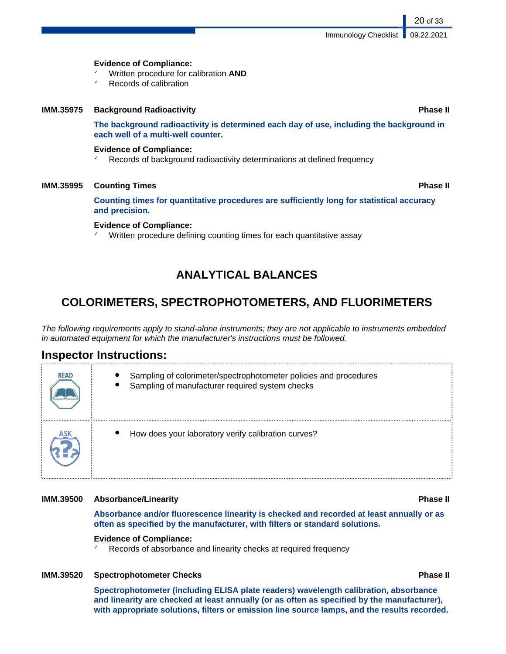### **Evidence of Compliance:**

- ✓ Written procedure for calibration **AND**
- Records of calibration

### **IMM.35975 Background Radioactivity Phase II**

**The background radioactivity is determined each day of use, including the background in each well of a multi-well counter.**

## **Evidence of Compliance:**

✓ Records of background radioactivity determinations at defined frequency

### **IMM.35995 Counting Times Phase II**

**Counting times for quantitative procedures are sufficiently long for statistical accuracy and precision.**

### **Evidence of Compliance:**

✓ Written procedure defining counting times for each quantitative assay

# **ANALYTICAL BALANCES**

# **COLORIMETERS, SPECTROPHOTOMETERS, AND FLUORIMETERS**

The following requirements apply to stand-alone instruments; they are not applicable to instruments embedded in automated equipment for which the manufacturer's instructions must be followed.

# **Inspector Instructions:**

| <b>READ</b> | Sampling of colorimeter/spectrophotometer policies and procedures<br>Sampling of manufacturer required system checks |
|-------------|----------------------------------------------------------------------------------------------------------------------|
|             | $\bullet$<br>How does your laboratory verify calibration curves?                                                     |

### **IMM.39500 Absorbance/Linearity Phase II**

**Absorbance and/or fluorescence linearity is checked and recorded at least annually or as often as specified by the manufacturer, with filters or standard solutions.**

### **Evidence of Compliance:**

Records of absorbance and linearity checks at required frequency

### **IMM.39520 Spectrophotometer Checks Phase II**

**Spectrophotometer (including ELISA plate readers) wavelength calibration, absorbance and linearity are checked at least annually (or as often as specified by the manufacturer), with appropriate solutions, filters or emission line source lamps, and the results recorded.**

20 of 33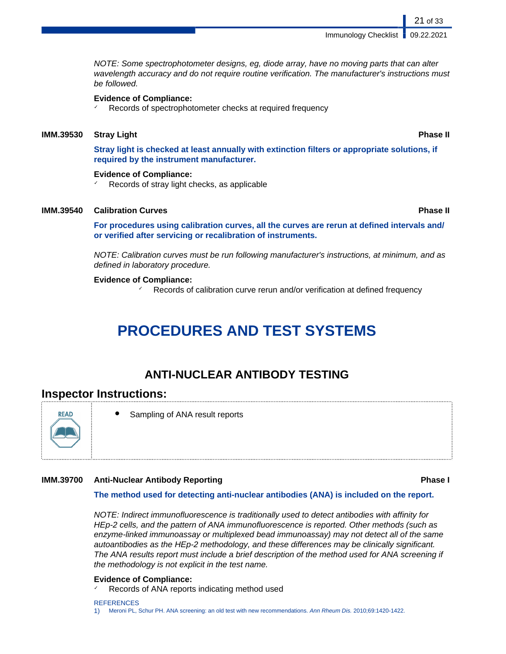NOTE: Some spectrophotometer designs, eg, diode array, have no moving parts that can alter wavelength accuracy and do not require routine verification. The manufacturer's instructions must be followed.

### **Evidence of Compliance:**

✓ Records of spectrophotometer checks at required frequency

### **IMM.39530 Stray Light Phase II**

**Stray light is checked at least annually with extinction filters or appropriate solutions, if required by the instrument manufacturer.**

### **Evidence of Compliance:**

Records of stray light checks, as applicable

### **IMM.39540 Calibration Curves Phase II**

**For procedures using calibration curves, all the curves are rerun at defined intervals and/ or verified after servicing or recalibration of instruments.**

NOTE: Calibration curves must be run following manufacturer's instructions, at minimum, and as defined in laboratory procedure.

### **Evidence of Compliance:**

Records of calibration curve rerun and/or verification at defined frequency

# **PROCEDURES AND TEST SYSTEMS**

## **ANTI-NUCLEAR ANTIBODY TESTING**

## **Inspector Instructions:**



Sampling of ANA result reports

### **IMM.39700 Anti-Nuclear Antibody Reporting Phase I**

### **The method used for detecting anti-nuclear antibodies (ANA) is included on the report.**

NOTE: Indirect immunofluorescence is traditionally used to detect antibodies with affinity for HEp-2 cells, and the pattern of ANA immunofluorescence is reported. Other methods (such as enzyme-linked immunoassay or multiplexed bead immunoassay) may not detect all of the same autoantibodies as the HEp-2 methodology, and these differences may be clinically significant. The ANA results report must include a brief description of the method used for ANA screening if the methodology is not explicit in the test name.

### **Evidence of Compliance:**

Records of ANA reports indicating method used

**REFERENCES** 1) Meroni PL, Schur PH. ANA screening: an old test with new recommendations. Ann Rheum Dis. 2010;69:1420-1422.

21 of 33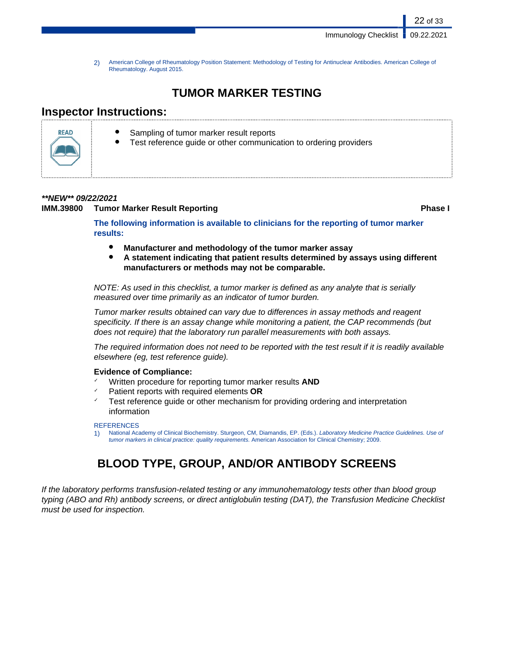2) American College of Rheumatology Position Statement: Methodology of Testing for Antinuclear Antibodies. American College of Rheumatology. August 2015.

# **TUMOR MARKER TESTING**

# **Inspector Instructions:**



- Sampling of tumor marker result reports
- Test reference guide or other communication to ordering providers

## **\*\*NEW\*\* 09/22/2021**

## **IMM.39800 • Tumor Marker Result Reporting the act of the Contract Result Reporting Thanks and Result Reporting Thanks and Result Reporting Thanks and Result Reporting Thanks and Result Result Reporting Thanks and Result R**

22 of 33

**The following information is available to clinicians for the reporting of tumor marker results:**

- **Manufacturer and methodology of the tumor marker assay**
- **A statement indicating that patient results determined by assays using different manufacturers or methods may not be comparable.**

NOTE: As used in this checklist, a tumor marker is defined as any analyte that is serially measured over time primarily as an indicator of tumor burden.

Tumor marker results obtained can vary due to differences in assay methods and reagent specificity. If there is an assay change while monitoring a patient, the CAP recommends (but does not require) that the laboratory run parallel measurements with both assays.

The required information does not need to be reported with the test result if it is readily available elsewhere (eg, test reference guide).

## **Evidence of Compliance:**

- ✓ Written procedure for reporting tumor marker results **AND**
- ✓ Patient reports with required elements **OR**
- Test reference guide or other mechanism for providing ordering and interpretation information

### REFERENCES

1) National Academy of Clinical Biochemistry. Sturgeon, CM, Diamandis, EP. (Eds.). Laboratory Medicine Practice Guidelines. Use of tumor markers in clinical practice: quality requirements. American Association for Clinical Chemistry; 2009.

# **BLOOD TYPE, GROUP, AND/OR ANTIBODY SCREENS**

If the laboratory performs transfusion-related testing or any immunohematology tests other than blood group typing (ABO and Rh) antibody screens, or direct antiglobulin testing (DAT), the Transfusion Medicine Checklist must be used for inspection.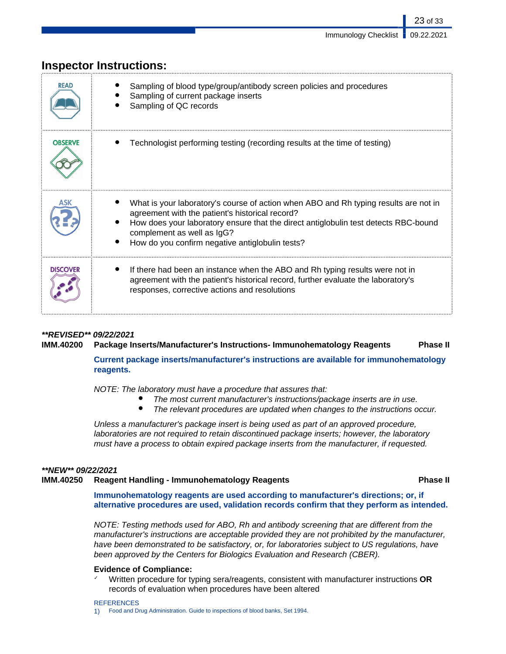| <b>READ</b>     | Sampling of blood type/group/antibody screen policies and procedures<br>Sampling of current package inserts<br>Sampling of QC records                                                                                                                                                                           |
|-----------------|-----------------------------------------------------------------------------------------------------------------------------------------------------------------------------------------------------------------------------------------------------------------------------------------------------------------|
| <b>OBSERVE</b>  | Technologist performing testing (recording results at the time of testing)                                                                                                                                                                                                                                      |
|                 | What is your laboratory's course of action when ABO and Rh typing results are not in<br>agreement with the patient's historical record?<br>How does your laboratory ensure that the direct antiglobulin test detects RBC-bound<br>complement as well as IgG?<br>How do you confirm negative antiglobulin tests? |
| <b>DISCOVER</b> | If there had been an instance when the ABO and Rh typing results were not in<br>agreement with the patient's historical record, further evaluate the laboratory's<br>responses, corrective actions and resolutions                                                                                              |

# **Inspector Instructions:**

## **\*\*REVISED\*\* 09/22/2021 IMM.40200 Package Inserts/Manufacturer's Instructions- Immunohematology Reagents Phase II**

**Current package inserts/manufacturer's instructions are available for immunohematology reagents.**

NOTE: The laboratory must have a procedure that assures that:

- The most current manufacturer's instructions/package inserts are in use.<br>● The relevant procedures are undated when changes to the instructions of
- The relevant procedures are updated when changes to the instructions occur.

Unless a manufacturer's package insert is being used as part of an approved procedure, laboratories are not required to retain discontinued package inserts; however, the laboratory must have a process to obtain expired package inserts from the manufacturer, if requested.

### **\*\*NEW\*\* 09/22/2021**

### **IMM.40250 Reagent Handling - Immunohematology Reagents Phase II**

**Immunohematology reagents are used according to manufacturer's directions; or, if alternative procedures are used, validation records confirm that they perform as intended.**

NOTE: Testing methods used for ABO, Rh and antibody screening that are different from the manufacturer's instructions are acceptable provided they are not prohibited by the manufacturer, have been demonstrated to be satisfactory, or, for laboratories subject to US regulations, have been approved by the Centers for Biologics Evaluation and Research (CBER).

### **Evidence of Compliance:**

✓ Written procedure for typing sera/reagents, consistent with manufacturer instructions **OR** records of evaluation when procedures have been altered

**REFERENCES** 

1) Food and Drug Administration. Guide to inspections of blood banks, Set 1994.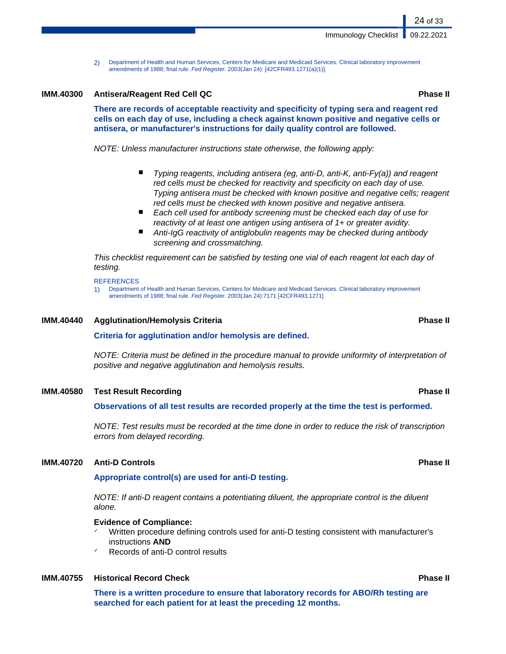2) Department of Health and Human Services, Centers for Medicare and Medicaid Services. Clinical laboratory improvement amendments of 1988; final rule. Fed Register. 2003(Jan 24): [42CFR493.1271(a)(1)].

### **IMM.40300 Antisera/Reagent Red Cell QC Phase II**

**There are records of acceptable reactivity and specificity of typing sera and reagent red cells on each day of use, including a check against known positive and negative cells or antisera, or manufacturer's instructions for daily quality control are followed.**

NOTE: Unless manufacturer instructions state otherwise, the following apply:

- Typing reagents, including antisera (eg, anti-D, anti-K, anti-Fy(a)) and reagent red cells must be checked for reactivity and specificity on each day of use. Typing antisera must be checked with known positive and negative cells; reagent red cells must be checked with known positive and negative antisera.
- Each cell used for antibody screening must be checked each day of use for reactivity of at least one antigen using antisera of 1+ or greater avidity.
- Anti-IgG reactivity of antiglobulin reagents may be checked during antibody screening and crossmatching.

This checklist requirement can be satisfied by testing one vial of each reagent lot each day of testing.

### **REFERENCES**

1) Department of Health and Human Services, Centers for Medicare and Medicaid Services. Clinical laboratory improvement amendments of 1988; final rule. Fed Register. 2003(Jan 24):7171 [42CFR493.1271]

### **IMM.40440 Agglutination/Hemolysis Criteria Phase II**

**Criteria for agglutination and/or hemolysis are defined.**

NOTE: Criteria must be defined in the procedure manual to provide uniformity of interpretation of positive and negative agglutination and hemolysis results.

### **IMM.40580 Test Result Recording Phase II**

**Observations of all test results are recorded properly at the time the test is performed.**

NOTE: Test results must be recorded at the time done in order to reduce the risk of transcription errors from delayed recording.

### **IMM.40720 Anti-D Controls Phase II**

### **Appropriate control(s) are used for anti-D testing.**

NOTE: If anti-D reagent contains a potentiating diluent, the appropriate control is the diluent alone.

### **Evidence of Compliance:**

- Written procedure defining controls used for anti-D testing consistent with manufacturer's instructions **AND**
- Records of anti-D control results

## **IMM.40755 Historical Record Check Phase II**

**There is a written procedure to ensure that laboratory records for ABO/Rh testing are searched for each patient for at least the preceding 12 months.**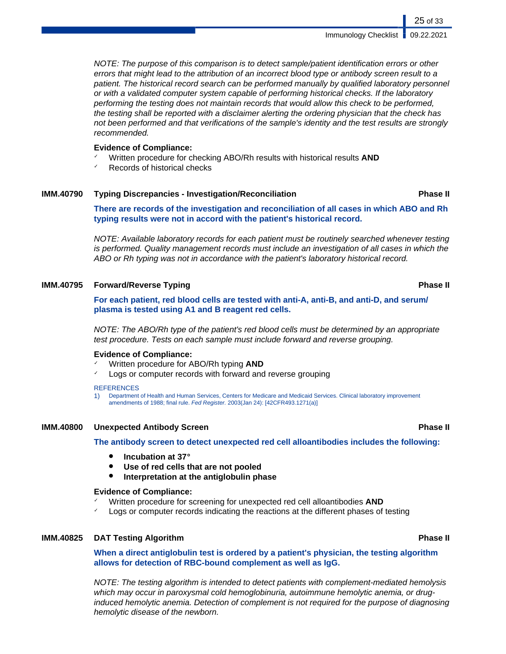NOTE: The purpose of this comparison is to detect sample/patient identification errors or other errors that might lead to the attribution of an incorrect blood type or antibody screen result to a patient. The historical record search can be performed manually by qualified laboratory personnel or with a validated computer system capable of performing historical checks. If the laboratory performing the testing does not maintain records that would allow this check to be performed, the testing shall be reported with a disclaimer alerting the ordering physician that the check has not been performed and that verifications of the sample's identity and the test results are strongly recommended.

### **Evidence of Compliance:**

- ✓ Written procedure for checking ABO/Rh results with historical results **AND**
- Records of historical checks

### **IMM.40790 Typing Discrepancies - Investigation/Reconciliation Phase II**

**There are records of the investigation and reconciliation of all cases in which ABO and Rh typing results were not in accord with the patient's historical record.**

NOTE: Available laboratory records for each patient must be routinely searched whenever testing is performed. Quality management records must include an investigation of all cases in which the ABO or Rh typing was not in accordance with the patient's laboratory historical record.

## **IMM.40795 Forward/Reverse Typing Phase II**

### **For each patient, red blood cells are tested with anti-A, anti-B, and anti-D, and serum/ plasma is tested using A1 and B reagent red cells.**

NOTE: The ABO/Rh type of the patient's red blood cells must be determined by an appropriate test procedure. Tests on each sample must include forward and reverse grouping.

### **Evidence of Compliance:**

- ✓ Written procedure for ABO/Rh typing **AND**
- Logs or computer records with forward and reverse grouping

### **REFERENCES**

1) Department of Health and Human Services, Centers for Medicare and Medicaid Services. Clinical laboratory improvement amendments of 1988; final rule. Fed Register. 2003(Jan 24): [42CFR493.1271(a)]

### **IMM.40800 Unexpected Antibody Screen Phase II**

**The antibody screen to detect unexpected red cell alloantibodies includes the following:**

- **Incubation at 37°**
- Use of red cells that are not pooled
- **Interpretation at the antiglobulin phase**

### **Evidence of Compliance:**

- ✓ Written procedure for screening for unexpected red cell alloantibodies **AND**
- Logs or computer records indicating the reactions at the different phases of testing

### **IMM.40825 DAT Testing Algorithm Phase II**

## **When a direct antiglobulin test is ordered by a patient's physician, the testing algorithm allows for detection of RBC-bound complement as well as IgG.**

NOTE: The testing algorithm is intended to detect patients with complement-mediated hemolysis which may occur in paroxysmal cold hemoglobinuria, autoimmune hemolytic anemia, or druginduced hemolytic anemia. Detection of complement is not required for the purpose of diagnosing hemolytic disease of the newborn.

25 of 33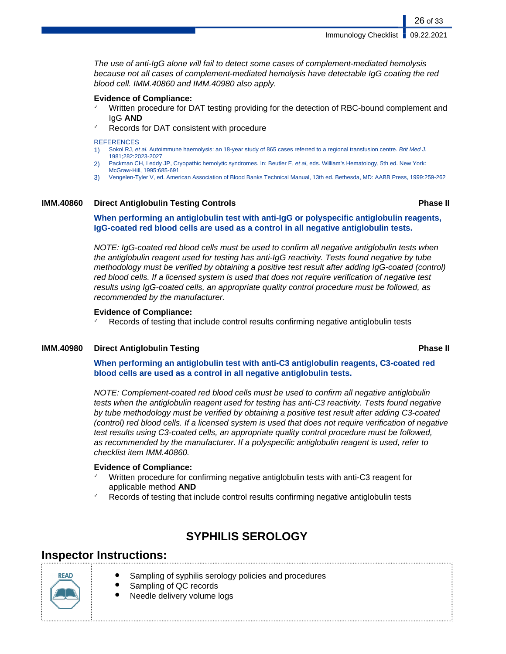The use of anti-IgG alone will fail to detect some cases of complement-mediated hemolysis because not all cases of complement-mediated hemolysis have detectable IgG coating the red blood cell. IMM.40860 and IMM.40980 also apply.

### **Evidence of Compliance:**

- Written procedure for DAT testing providing for the detection of RBC-bound complement and IgG **AND**
- Records for DAT consistent with procedure

### **REFERENCES**

- 1) Sokol RJ, et al. Autoimmune haemolysis: an 18-year study of 865 cases referred to a regional transfusion centre. Brit Med J. 1981;282:2023-2027
- 2) Packman CH, Leddy JP, Cryopathic hemolytic syndromes. In: Beutler E, et al, eds. William's Hematology, 5th ed. New York: McGraw-Hill, 1995:685-691
- 3) Vengelen-Tyler V, ed. American Association of Blood Banks Technical Manual, 13th ed. Bethesda, MD: AABB Press, 1999:259-262

### **IMM.40860 Direct Antiglobulin Testing Controls Phase II**

### **When performing an antiglobulin test with anti-IgG or polyspecific antiglobulin reagents, IgG-coated red blood cells are used as a control in all negative antiglobulin tests.**

NOTE: IgG-coated red blood cells must be used to confirm all negative antiglobulin tests when the antiglobulin reagent used for testing has anti-IgG reactivity. Tests found negative by tube methodology must be verified by obtaining a positive test result after adding IgG-coated (control) red blood cells. If a licensed system is used that does not require verification of negative test results using IgG-coated cells, an appropriate quality control procedure must be followed, as recommended by the manufacturer.

### **Evidence of Compliance:**

Records of testing that include control results confirming negative antiglobulin tests

### **IMM.40980 Direct Antiglobulin Testing Phase II**

**When performing an antiglobulin test with anti-C3 antiglobulin reagents, C3-coated red blood cells are used as a control in all negative antiglobulin tests.**

NOTE: Complement-coated red blood cells must be used to confirm all negative antiglobulin tests when the antiglobulin reagent used for testing has anti-C3 reactivity. Tests found negative by tube methodology must be verified by obtaining a positive test result after adding C3-coated (control) red blood cells. If a licensed system is used that does not require verification of negative test results using C3-coated cells, an appropriate quality control procedure must be followed, as recommended by the manufacturer. If a polyspecific antiglobulin reagent is used, refer to checklist item IMM.40860.

### **Evidence of Compliance:**

- Written procedure for confirming negative antiglobulin tests with anti-C3 reagent for applicable method **AND**
- Records of testing that include control results confirming negative antiglobulin tests

# **SYPHILIS SEROLOGY**

## **Inspector Instructions:**

| <b>REA</b> |
|------------|
|            |
|            |

- Sampling of syphilis serology policies and procedures
- Sampling of QC records
	- Needle delivery volume logs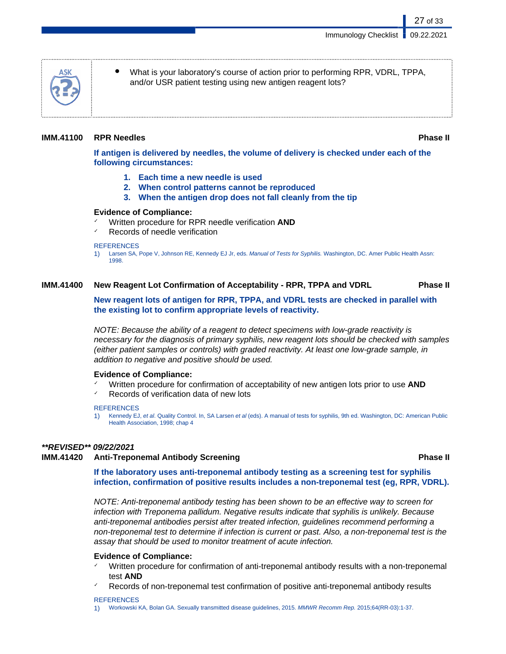What is your laboratory's course of action prior to performing RPR, VDRL, TPPA, and/or USR patient testing using new antigen reagent lots?

## **IMM.41100 RPR Needles Phase II**

27 of 33

**If antigen is delivered by needles, the volume of delivery is checked under each of the following circumstances:**

- **1. Each time a new needle is used**
- **2. When control patterns cannot be reproduced**
- **3. When the antigen drop does not fall cleanly from the tip**

### **Evidence of Compliance:**

- ✓ Written procedure for RPR needle verification **AND**
- Records of needle verification

### **REFERENCES**

1) Larsen SA, Pope V, Johnson RE, Kennedy EJ Jr, eds. Manual of Tests for Syphilis. Washington, DC. Amer Public Health Assn: 1998.

## **IMM.41400 New Reagent Lot Confirmation of Acceptability - RPR, TPPA and VDRL Phase II**

**New reagent lots of antigen for RPR, TPPA, and VDRL tests are checked in parallel with the existing lot to confirm appropriate levels of reactivity.**

NOTE: Because the ability of a reagent to detect specimens with low-grade reactivity is necessary for the diagnosis of primary syphilis, new reagent lots should be checked with samples (either patient samples or controls) with graded reactivity. At least one low-grade sample, in addition to negative and positive should be used.

### **Evidence of Compliance:**

- ✓ Written procedure for confirmation of acceptability of new antigen lots prior to use **AND**
- Records of verification data of new lots
- **REFERENCES**
- 1) Kennedy EJ, et al. Quality Control. In, SA Larsen et al (eds). A manual of tests for syphilis, 9th ed. Washington, DC: American Public Health Association, 1998; chap 4

## **\*\*REVISED\*\* 09/22/2021**

## **IMM.41420 Anti-Treponemal Antibody Screening Phase II**

**If the laboratory uses anti-treponemal antibody testing as a screening test for syphilis infection, confirmation of positive results includes a non-treponemal test (eg, RPR, VDRL).**

NOTE: Anti-treponemal antibody testing has been shown to be an effective way to screen for infection with Treponema pallidum. Negative results indicate that syphilis is unlikely. Because anti-treponemal antibodies persist after treated infection, guidelines recommend performing a non-treponemal test to determine if infection is current or past. Also, a non-treponemal test is the assay that should be used to monitor treatment of acute infection.

## **Evidence of Compliance:**

- Written procedure for confirmation of anti-treponemal antibody results with a non-treponemal test **AND**
- Records of non-treponemal test confirmation of positive anti-treponemal antibody results

### **REFERENCES**

1) Workowski KA, Bolan GA. Sexually transmitted disease guidelines, 2015. MMWR Recomm Rep. 2015;64(RR-03):1-37.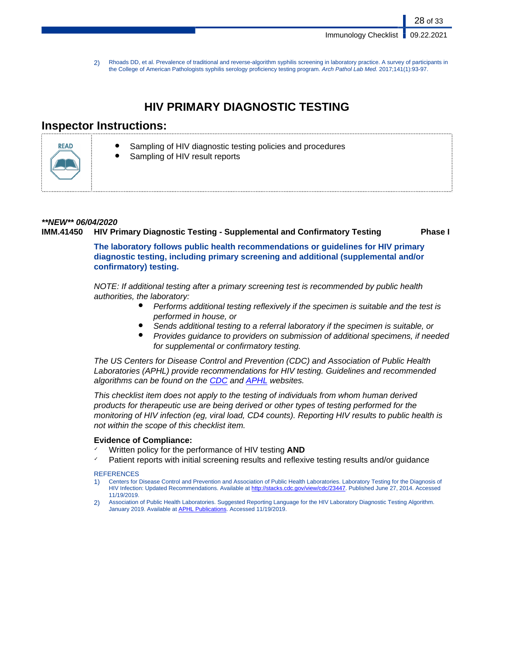28 of 33

2) Rhoads DD, et al. Prevalence of traditional and reverse-algorithm syphilis screening in laboratory practice. A survey of participants in the College of American Pathologists syphilis serology proficiency testing program. Arch Pathol Lab Med. 2017;141(1):93-97.

# **HIV PRIMARY DIAGNOSTIC TESTING**

# **Inspector Instructions:**



- Sampling of HIV diagnostic testing policies and procedures
- Sampling of HIV result reports

# **\*\*NEW\*\* 06/04/2020**

## **IMM.41450 HIV Primary Diagnostic Testing - Supplemental and Confirmatory Testing Phase I**

**The laboratory follows public health recommendations or guidelines for HIV primary diagnostic testing, including primary screening and additional (supplemental and/or confirmatory) testing.**

NOTE: If additional testing after a primary screening test is recommended by public health authorities, the laboratory:

- Performs additional testing reflexively if the specimen is suitable and the test is performed in house, or
- Sends additional testing to a referral laboratory if the specimen is suitable, or
- Provides guidance to providers on submission of additional specimens, if needed for supplemental or confirmatory testing.

The US Centers for Disease Control and Prevention (CDC) and Association of Public Health Laboratories (APHL) provide recommendations for HIV testing. Guidelines and recommended algorithms can be found on the [CDC](https://www.cdc.gov/hiv/guidelines/testing.html) and **APHL** websites.

This checklist item does not apply to the testing of individuals from whom human derived products for therapeutic use are being derived or other types of testing performed for the monitoring of HIV infection (eg, viral load, CD4 counts). Reporting HIV results to public health is not within the scope of this checklist item.

## **Evidence of Compliance:**

- Written policy for the performance of HIV testing **AND**
- Patient reports with initial screening results and reflexive testing results and/or guidance

## **REFERENCES**

- 1) Centers for Disease Control and Prevention and Association of Public Health Laboratories. Laboratory Testing for the Diagnosis of HIV Infection: Updated Recommendations. Available at <http://stacks.cdc.gov/view/cdc/23447>. Published June 27, 2014. Accessed 11/19/2019.
- 2) Association of Public Health Laboratories. Suggested Reporting Language for the HIV Laboratory Diagnostic Testing Algorithm. January 2019. Available at **APHL Publications**. Accessed 11/19/2019.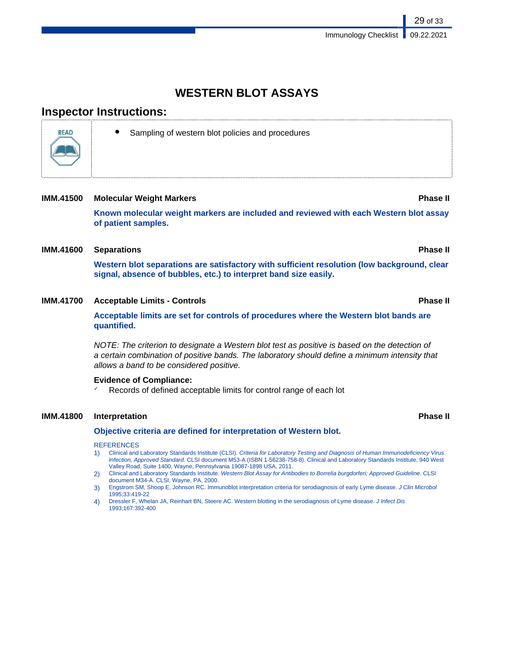# **WESTERN BLOT ASSAYS**

# **Inspector Instructions:**



Sampling of western blot policies and procedures

### **IMM.41500 Molecular Weight Markers Phase II**

**Known molecular weight markers are included and reviewed with each Western blot assay of patient samples.**

## **IMM.41600 Separations Phase II**

**Western blot separations are satisfactory with sufficient resolution (low background, clear signal, absence of bubbles, etc.) to interpret band size easily.**

## **IMM.41700 Acceptable Limits - Controls Phase II**

**Acceptable limits are set for controls of procedures where the Western blot bands are quantified.**

NOTE: The criterion to designate a Western blot test as positive is based on the detection of a certain combination of positive bands. The laboratory should define a minimum intensity that allows a band to be considered positive.

### **Evidence of Compliance:**

 $\sqrt{ }$  Records of defined acceptable limits for control range of each lot

### **IMM.41800 Interpretation Phase II**

### **Objective criteria are defined for interpretation of Western blot.**

### **REFERENCES**

- 1) Clinical and Laboratory Standards Institute (CLSI). Criteria for Laboratory Testing and Diagnosis of Human Immunodeficiency Virus Infection, Approved Standard. CLSI document M53-A (ISBN 1-56238-758-8). Clinical and Laboratory Standards Institute, 940 West Valley Road, Suite 1400, Wayne, Pennsylvania 19087-1898 USA, 2011.
- 2) Clinical and Laboratory Standards Institute. Western Blot Assay for Antibodies to Borrelia burgdorferi; Approved Guideline. CLSI document M34-A. CLSI, Wayne, PA, 2000.
- 3) Engstrom SM, Shoop E, Johnson RC. Immunoblot interpretation criteria for serodiagnosis of early Lyme disease. J Clin Microbol 1995;33:419-22
- 4) Dressler F, Whelan JA, Reinhart BN, Steere AC. Western blotting in the serodiagnosis of Lyme disease. J Infect Dis 1993;167:392-400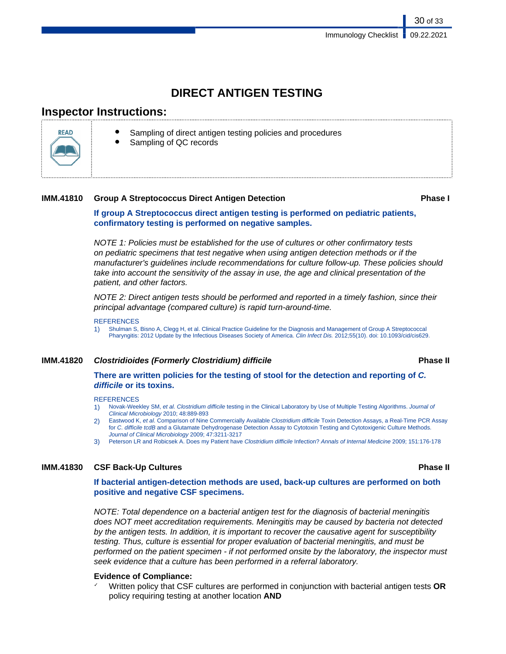# **DIRECT ANTIGEN TESTING**

# **Inspector Instructions:**



- Sampling of direct antigen testing policies and procedures
- Sampling of QC records

## **IMM.41810 • Group A Streptococcus Direct Antigen Detection** *COMM.41810* **• <b>Phase I**

30 of 33

**If group A Streptococcus direct antigen testing is performed on pediatric patients, confirmatory testing is performed on negative samples.**

NOTE 1: Policies must be established for the use of cultures or other confirmatory tests on pediatric specimens that test negative when using antigen detection methods or if the manufacturer's guidelines include recommendations for culture follow-up. These policies should take into account the sensitivity of the assay in use, the age and clinical presentation of the patient, and other factors.

NOTE 2: Direct antigen tests should be performed and reported in a timely fashion, since their principal advantage (compared culture) is rapid turn-around-time.

### **REFERENCES**

1) Shulman S, Bisno A, Clegg H, et al. Clinical Practice Guideline for the Diagnosis and Management of Group A Streptococcal Pharyngitis: 2012 Update by the Infectious Diseases Society of America. Clin Infect Dis. 2012;55(10). doi: 10.1093/cid/cis629.

## **IMM.41820 Clostridioides (Formerly Clostridium) difficile Phase II**

**There are written policies for the testing of stool for the detection and reporting of C. difficile or its toxins.**

### **REFERENCES**

- 1) Novak-Weekley SM, et al. Clostridium difficile testing in the Clinical Laboratory by Use of Multiple Testing Algorithms. Journal of Clinical Microbiology 2010; 48:889-893
- 2) Eastwood K, et al. Comparison of Nine Commercially Available Clostridium difficile Toxin Detection Assays, a Real-Time PCR Assay for C. difficile tcdB and a Glutamate Dehydrogenase Detection Assay to Cytotoxin Testing and Cytotoxigenic Culture Methods. Journal of Clinical Microbiology 2009; 47:3211-3217
- 3) Peterson LR and Robicsek A. Does my Patient have Clostridium difficile Infection? Annals of Internal Medicine 2009; 151:176-178

## **IMM.41830 CSF Back-Up Cultures Phase II**

**If bacterial antigen-detection methods are used, back-up cultures are performed on both positive and negative CSF specimens.**

NOTE: Total dependence on a bacterial antigen test for the diagnosis of bacterial meningitis does NOT meet accreditation requirements. Meningitis may be caused by bacteria not detected by the antigen tests. In addition, it is important to recover the causative agent for susceptibility testing. Thus, culture is essential for proper evaluation of bacterial meningitis, and must be performed on the patient specimen - if not performed onsite by the laboratory, the inspector must seek evidence that a culture has been performed in a referral laboratory.

## **Evidence of Compliance:**

✓ Written policy that CSF cultures are performed in conjunction with bacterial antigen tests **OR** policy requiring testing at another location **AND**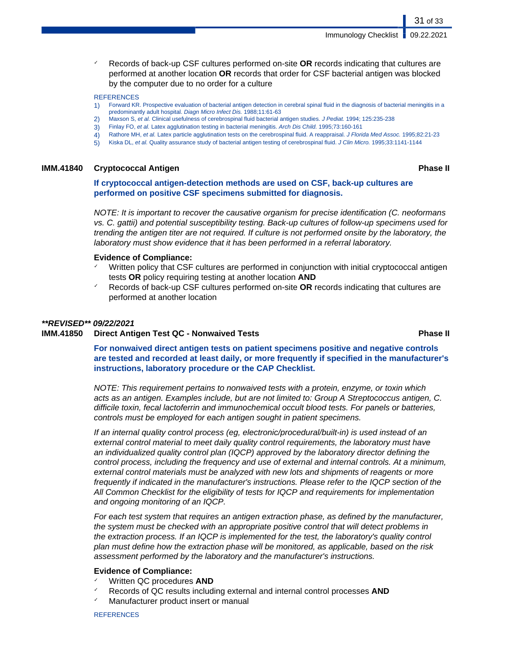✓ Records of back-up CSF cultures performed on-site **OR** records indicating that cultures are performed at another location **OR** records that order for CSF bacterial antigen was blocked by the computer due to no order for a culture

### **REFERENCES**

- 1) Forward KR. Prospective evaluation of bacterial antigen detection in cerebral spinal fluid in the diagnosis of bacterial meningitis in a predominantly adult hospital. Diagn Micro Infect Dis. 1988;11:61-63
- 2) Maxson S, et al. Clinical usefulness of cerebrospinal fluid bacterial antigen studies. J Pediat. 1994; 125:235-238<br>3) Finlay FO, et al. Latex agglutination testing in bacterial meningitis. Arch Dis Child. 1995;73:160-16
- 3) Finlay FO, et al. Latex agglutination testing in bacterial meningitis. Arch Dis Child. 1995;73:160-161
- 4) Rathore MH, et al. Latex particle agglutination tests on the cerebrospinal fluid. A reappraisal. J Florida Med Assoc. 1995;82:21-23
- 5) Kiska DL, et al. Quality assurance study of bacterial antigen testing of cerebrospinal fluid. J Clin Micro. 1995;33:1141-1144

### **IMM.41840 CryptococcaI Antigen Phase II**

### **If cryptococcal antigen-detection methods are used on CSF, back-up cultures are performed on positive CSF specimens submitted for diagnosis.**

NOTE: It is important to recover the causative organism for precise identification (C. neoformans vs. C. gattii) and potential susceptibility testing. Back-up cultures of follow-up specimens used for trending the antigen titer are not required. If culture is not performed onsite by the laboratory, the laboratory must show evidence that it has been performed in a referral laboratory.

### **Evidence of Compliance:**

- Written policy that CSF cultures are performed in conjunction with initial cryptococcal antigen tests **OR** policy requiring testing at another location **AND**
- ✓ Records of back-up CSF cultures performed on-site **OR** records indicating that cultures are performed at another location

### **\*\*REVISED\*\* 09/22/2021**

### **IMM.41850 Direct Antigen Test QC - Nonwaived Tests Phase II**

**For nonwaived direct antigen tests on patient specimens positive and negative controls are tested and recorded at least daily, or more frequently if specified in the manufacturer's instructions, laboratory procedure or the CAP Checklist.**

NOTE: This requirement pertains to nonwaived tests with a protein, enzyme, or toxin which acts as an antigen. Examples include, but are not limited to: Group A Streptococcus antigen, C. difficile toxin, fecal lactoferrin and immunochemical occult blood tests. For panels or batteries, controls must be employed for each antigen sought in patient specimens.

If an internal quality control process (eg, electronic/procedural/built-in) is used instead of an external control material to meet daily quality control requirements, the laboratory must have an individualized quality control plan (IQCP) approved by the laboratory director defining the control process, including the frequency and use of external and internal controls. At a minimum, external control materials must be analyzed with new lots and shipments of reagents or more frequently if indicated in the manufacturer's instructions. Please refer to the IQCP section of the All Common Checklist for the eligibility of tests for IQCP and requirements for implementation and ongoing monitoring of an IQCP.

For each test system that requires an antigen extraction phase, as defined by the manufacturer, the system must be checked with an appropriate positive control that will detect problems in the extraction process. If an IQCP is implemented for the test, the laboratory's quality control plan must define how the extraction phase will be monitored, as applicable, based on the risk assessment performed by the laboratory and the manufacturer's instructions.

### **Evidence of Compliance:**

- Written QC procedures **AND**
- ✓ Records of QC results including external and internal control processes **AND**
- Manufacturer product insert or manual

**REFERENCES**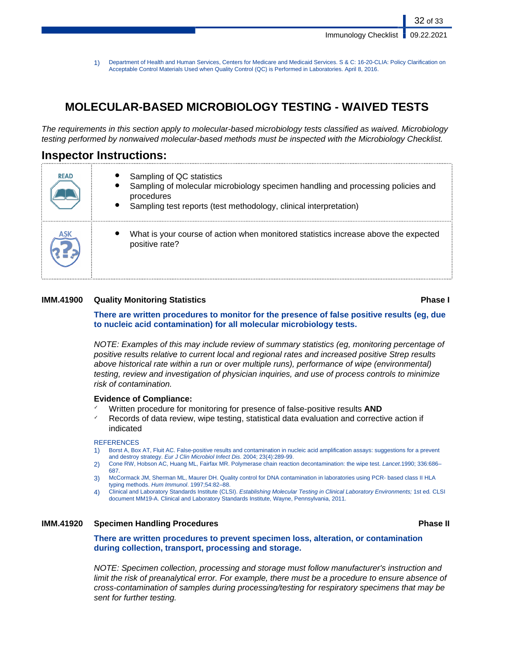1) Department of Health and Human Services, Centers for Medicare and Medicaid Services. S & C: 16-20-CLIA: Policy Clarification on Acceptable Control Materials Used when Quality Control (QC) is Performed in Laboratories. April 8, 2016.

# **MOLECULAR-BASED MICROBIOLOGY TESTING - WAIVED TESTS**

The requirements in this section apply to molecular-based microbiology tests classified as waived. Microbiology testing performed by nonwaived molecular-based methods must be inspected with the Microbiology Checklist.

# **Inspector Instructions:**

| <b>READ</b> | Sampling of QC statistics<br>Sampling of molecular microbiology specimen handling and processing policies and<br>procedures<br>$\bullet$<br>Sampling test reports (test methodology, clinical interpretation) |
|-------------|---------------------------------------------------------------------------------------------------------------------------------------------------------------------------------------------------------------|
| <b>ASK</b>  | What is your course of action when monitored statistics increase above the expected<br>positive rate?                                                                                                         |

## **IMM.41900 Quality Monitoring Statistics Phase I**

**There are written procedures to monitor for the presence of false positive results (eg, due to nucleic acid contamination) for all molecular microbiology tests.**

NOTE: Examples of this may include review of summary statistics (eg, monitoring percentage of positive results relative to current local and regional rates and increased positive Strep results above historical rate within a run or over multiple runs), performance of wipe (environmental) testing, review and investigation of physician inquiries, and use of process controls to minimize risk of contamination.

### **Evidence of Compliance:**

- ✓ Written procedure for monitoring for presence of false-positive results **AND**
- Records of data review, wipe testing, statistical data evaluation and corrective action if indicated

### **REFERENCES**

- 1) Borst A, Box AT, Fluit AC. False-positive results and contamination in nucleic acid amplification assays: suggestions for a prevent and destroy strategy. Eur J Clin Microbiol Infect Dis. 2004; 23(4):289-99.
- 2) Cone RW, Hobson AC, Huang ML, Fairfax MR. Polymerase chain reaction decontamination: the wipe test. Lancet.1990; 336:686– 687.
- 3) McCormack JM, Sherman ML, Maurer DH. Quality control for DNA contamination in laboratories using PCR- based class II HLA typing methods. Hum Immunol. 1997;54:82–88.
- 4) Clinical and Laboratory Standards Institute (CLSI). Establishing Molecular Testing in Clinical Laboratory Environments; 1st ed. CLSI document MM19-A. Clinical and Laboratory Standards Institute, Wayne, Pennsylvania, 2011.

## **IMM.41920 Specimen Handling Procedures Phase II**

**There are written procedures to prevent specimen loss, alteration, or contamination during collection, transport, processing and storage.**

NOTE: Specimen collection, processing and storage must follow manufacturer's instruction and limit the risk of preanalytical error. For example, there must be a procedure to ensure absence of cross-contamination of samples during processing/testing for respiratory specimens that may be sent for further testing.